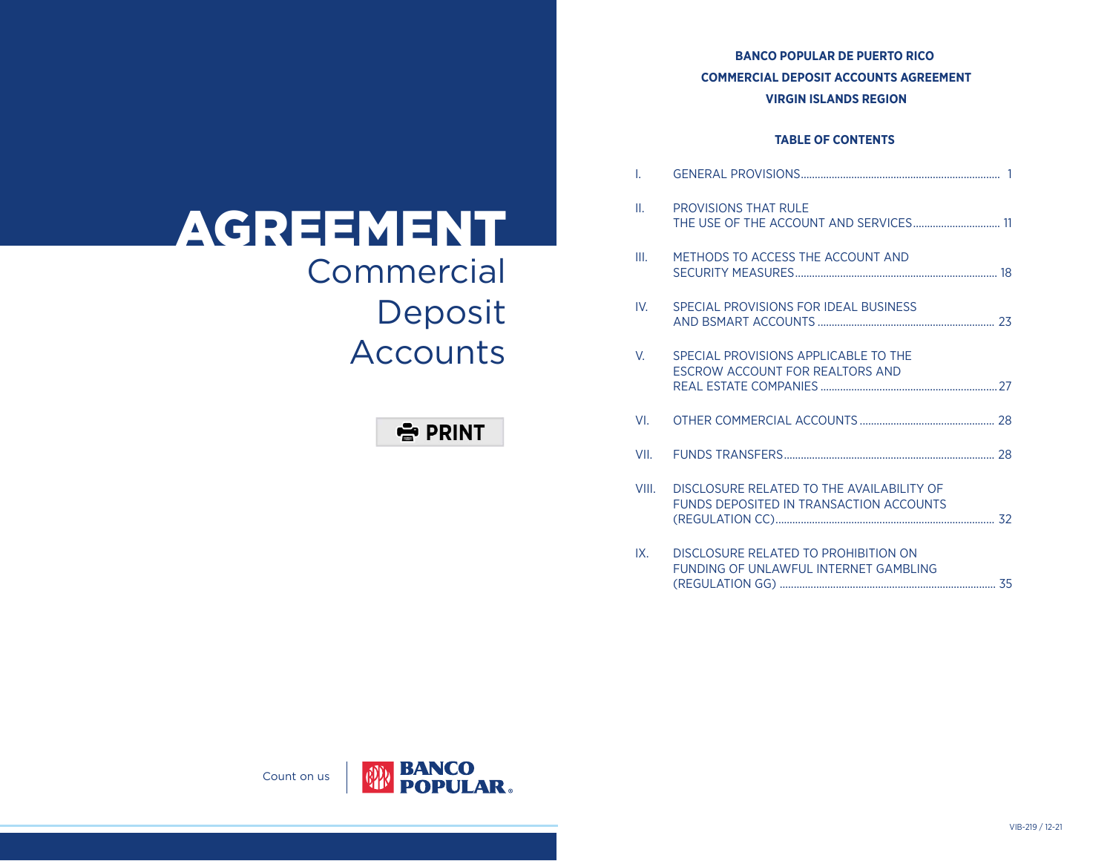# **BANCO POPULAR DE PUERTO RICO COMMERCIAL DEPOSIT ACCOUNTS AGREEMENT VIRGIN ISLANDS REGION**

# **TABLE OF CONTENTS**

| T.    |                                                                                      |  |
|-------|--------------------------------------------------------------------------------------|--|
| II.   | <b>PROVISIONS THAT RULE</b><br>THE USE OF THE ACCOUNT AND SERVICES 11                |  |
| III.  | METHODS TO ACCESS THE ACCOUNT AND                                                    |  |
| IV.   | SPECIAL PROVISIONS FOR IDEAL BUSINESS                                                |  |
| V.    | SPECIAL PROVISIONS APPLICABLE TO THE<br>ESCROW ACCOUNT FOR REALTORS AND              |  |
| VI.   |                                                                                      |  |
| VII.  |                                                                                      |  |
| VIII. | DISCLOSURE RELATED TO THE AVAILABILITY OF<br>FUNDS DEPOSITED IN TRANSACTION ACCOUNTS |  |
| IX.   | DISCLOSURE RELATED TO PROHIBITION ON<br>FUNDING OF UNLAWFUL INTERNET GAMBLING        |  |

# **Commercial** Deposit Accounts AGREEMENT

# 출 PRINT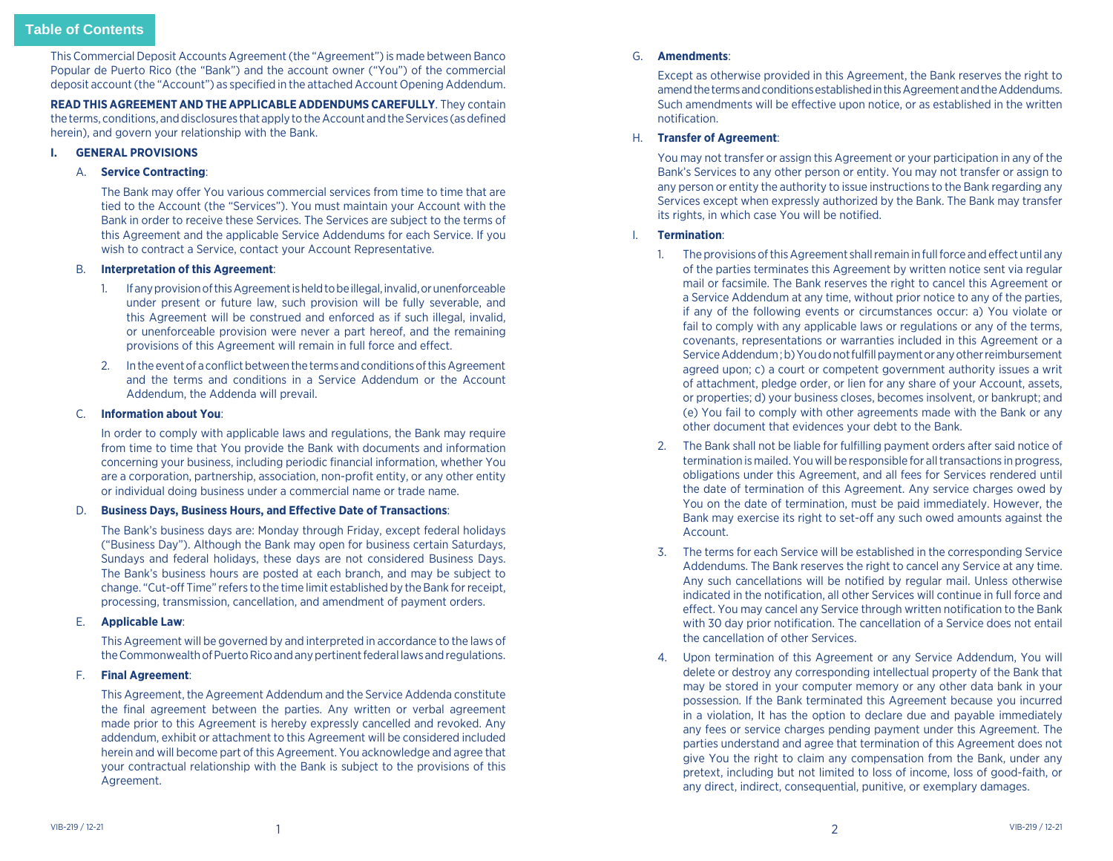<span id="page-1-0"></span>This Commercial Deposit Accounts Agreement (the "Agreement") is made between Banco Popular de Puerto Rico (the "Bank") and the account owner ("You") of the commercial deposit account (the "Account") as specified in the attached Account Opening Addendum.

**READ THIS AGREEMENT AND THE APPLICABLE ADDENDUMS CAREFULLY**. They contain the terms, conditions, and disclosures that apply to the Account and the Services (as defined herein), and govern your relationship with the Bank.

#### **I. GENERAL PROVISIONS**

#### A. **Service Contracting**:

The Bank may offer You various commercial services from time to time that are tied to the Account (the "Services"). You must maintain your Account with the Bank in order to receive these Services. The Services are subject to the terms of this Agreement and the applicable Service Addendums for each Service. If you wish to contract a Service, contact your Account Representative.

#### B. **Interpretation of this Agreement**:

- 1. If any provision of this Agreement is held to be illegal, invalid, or unenforceable under present or future law, such provision will be fully severable, and this Agreement will be construed and enforced as if such illegal, invalid, or unenforceable provision were never a part hereof, and the remaining provisions of this Agreement will remain in full force and effect.
- 2. In the event of a conflict between the terms and conditions of this Agreement and the terms and conditions in a Service Addendum or the Account Addendum, the Addenda will prevail.

#### C. **Information about You**:

 In order to comply with applicable laws and regulations, the Bank may require from time to time that You provide the Bank with documents and information concerning your business, including periodic financial information, whether You are a corporation, partnership, association, non-profit entity, or any other entity or individual doing business under a commercial name or trade name.

#### D. **Business Days, Business Hours, and Effective Date of Transactions**:

 The Bank's business days are: Monday through Friday, except federal holidays ("Business Day"). Although the Bank may open for business certain Saturdays, Sundays and federal holidays, these days are not considered Business Days. The Bank's business hours are posted at each branch, and may be subject to change. "Cut-off Time" refers to the time limit established by the Bank for receipt, processing, transmission, cancellation, and amendment of payment orders.

# E. **Applicable Law**:

 This Agreement will be governed by and interpreted in accordance to the laws of the Commonwealth of Puerto Rico and any pertinent federal laws and regulations.

# F. **Final Agreement**:

 This Agreement, the Agreement Addendum and the Service Addenda constitute the final agreement between the parties. Any written or verbal agreement made prior to this Agreement is hereby expressly cancelled and revoked. Any addendum, exhibit or attachment to this Agreement will be considered included herein and will become part of this Agreement. You acknowledge and agree that your contractual relationship with the Bank is subject to the provisions of this Agreement.

#### G. **Amendments**:

 Except as otherwise provided in this Agreement, the Bank reserves the right to amend the terms and conditions established in this Agreement and the Addendums. Such amendments will be effective upon notice, or as established in the written notification.

# H. **Transfer of Agreement**:

 You may not transfer or assign this Agreement or your participation in any of the Bank's Services to any other person or entity. You may not transfer or assign to any person or entity the authority to issue instructions to the Bank regarding any Services except when expressly authorized by the Bank. The Bank may transfer its rights, in which case You will be notified.

# I. **Termination**:

- 1. The provisions of this Agreement shall remain in full force and effect until any of the parties terminates this Agreement by written notice sent via regular mail or facsimile. The Bank reserves the right to cancel this Agreement or a Service Addendum at any time, without prior notice to any of the parties, if any of the following events or circumstances occur: a) You violate or fail to comply with any applicable laws or regulations or any of the terms, covenants, representations or warranties included in this Agreement or a Service Addendum ; b) You do not fulfill payment or any other reimbursement agreed upon; c) a court or competent government authority issues a writ of attachment, pledge order, or lien for any share of your Account, assets, or properties; d) your business closes, becomes insolvent, or bankrupt; and (e) You fail to comply with other agreements made with the Bank or any other document that evidences your debt to the Bank.
- 2. The Bank shall not be liable for fulfilling payment orders after said notice of termination is mailed. You will be responsible for all transactions in progress, obligations under this Agreement, and all fees for Services rendered until the date of termination of this Agreement. Any service charges owed by You on the date of termination, must be paid immediately. However, the Bank may exercise its right to set-off any such owed amounts against the Account.
- 3. The terms for each Service will be established in the corresponding Service Addendums. The Bank reserves the right to cancel any Service at any time. Any such cancellations will be notified by regular mail. Unless otherwise indicated in the notification, all other Services will continue in full force and effect. You may cancel any Service through written notification to the Bank with 30 day prior notification. The cancellation of a Service does not entail the cancellation of other Services.
- 4. Upon termination of this Agreement or any Service Addendum, You will delete or destroy any corresponding intellectual property of the Bank that may be stored in your computer memory or any other data bank in your possession. If the Bank terminated this Agreement because you incurred in a violation, It has the option to declare due and payable immediately any fees or service charges pending payment under this Agreement. The parties understand and agree that termination of this Agreement does not give You the right to claim any compensation from the Bank, under any pretext, including but not limited to loss of income, loss of good-faith, or any direct, indirect, consequential, punitive, or exemplary damages.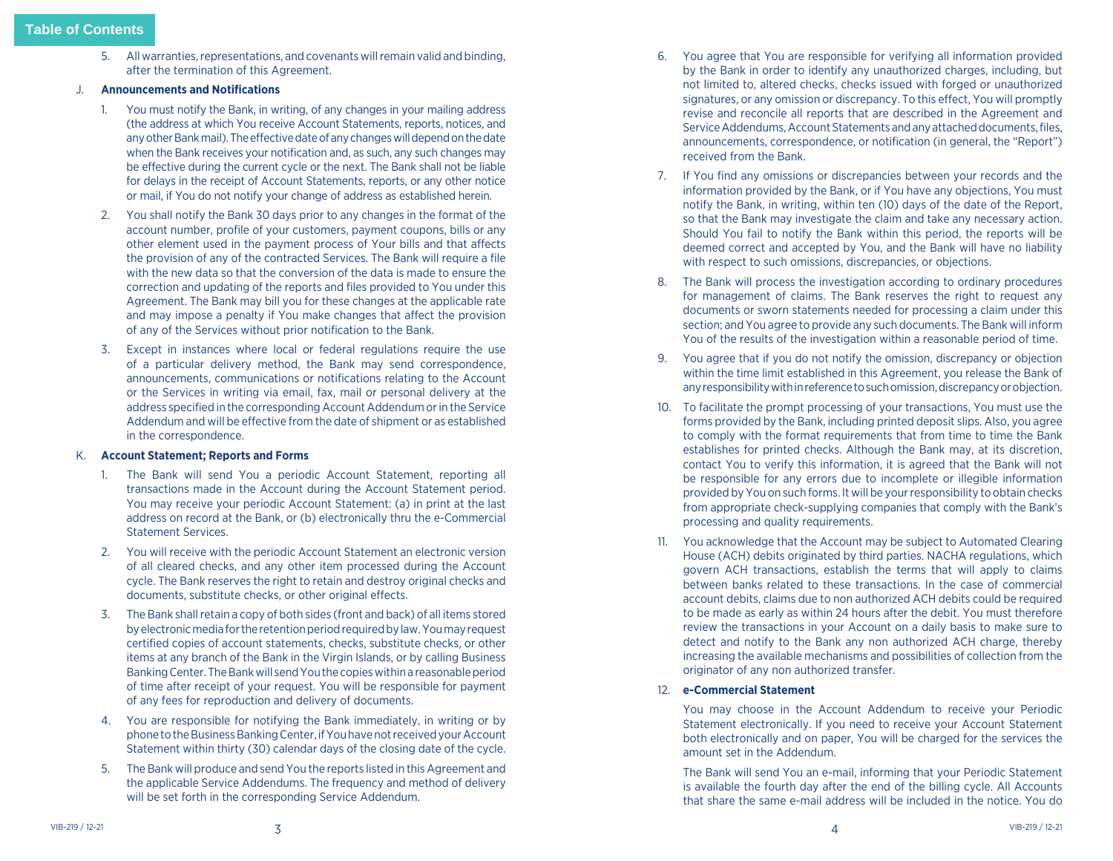- 5. All warranties, representations, and covenants will remain valid and binding, after the termination of this Agreement.
- J. **Announcements and Notifications**
	- 1. You must notify the Bank, in writing, of any changes in your mailing address (the address at which You receive Account Statements, reports, notices, and any other Bank mail). The effective date of any changes will depend on the date when the Bank receives your notification and, as such, any such changes may be effective during the current cycle or the next. The Bank shall not be liable for delays in the receipt of Account Statements, reports, or any other notice or mail, if You do not notify your change of address as established herein.
	- 2. You shall notify the Bank 30 days prior to any changes in the format of the account number, profile of your customers, payment coupons, bills or any other element used in the payment process of Your bills and that affects the provision of any of the contracted Services. The Bank will require a file with the new data so that the conversion of the data is made to ensure the correction and updating of the reports and files provided to You under this Agreement. The Bank may bill you for these changes at the applicable rate and may impose a penalty if You make changes that affect the provision of any of the Services without prior notification to the Bank.
	- 3. Except in instances where local or federal regulations require the use of a particular delivery method, the Bank may send correspondence, announcements, communications or notifications relating to the Account or the Services in writing via email, fax, mail or personal delivery at the address specified in the corresponding Account Addendum or in the Service Addendum and will be effective from the date of shipment or as established in the correspondence.

# K. **Account Statement; Reports and Forms**

- 1. The Bank will send You a periodic Account Statement, reporting all transactions made in the Account during the Account Statement period. You may receive your periodic Account Statement: (a) in print at the last address on record at the Bank, or (b) electronically thru the e-Commercial Statement Services.
- 2. You will receive with the periodic Account Statement an electronic version of all cleared checks, and any other item processed during the Account cycle. The Bank reserves the right to retain and destroy original checks and documents, substitute checks, or other original effects.
- 3. The Bank shall retain a copy of both sides (front and back) of all items stored by electronic media for the retention period required by law. You may request certified copies of account statements, checks, substitute checks, or other items at any branch of the Bank in the Virgin Islands, or by calling Business Banking Center. The Bank will send You the copies within a reasonable period of time after receipt of your request. You will be responsible for payment of any fees for reproduction and delivery of documents.
- 4. You are responsible for notifying the Bank immediately, in writing or by phone to the Business Banking Center, if You have not received your Account Statement within thirty (30) calendar days of the closing date of the cycle.
- 5. The Bank will produce and send You the reports listed in this Agreement and the applicable Service Addendums. The frequency and method of delivery will be set forth in the corresponding Service Addendum.
- 6. You agree that You are responsible for verifying all information provided by the Bank in order to identify any unauthorized charges, including, but not limited to, altered checks, checks issued with forged or unauthorized signatures, or any omission or discrepancy. To this effect, You will promptly revise and reconcile all reports that are described in the Agreement and Service Addendums, Account Statements and any attached documents, files, announcements, correspondence, or notification (in general, the "Report") received from the Bank.
- 7. If You find any omissions or discrepancies between your records and the information provided by the Bank, or if You have any objections, You must notify the Bank, in writing, within ten (10) days of the date of the Report, so that the Bank may investigate the claim and take any necessary action. Should You fail to notify the Bank within this period, the reports will be deemed correct and accepted by You, and the Bank will have no liability with respect to such omissions, discrepancies, or objections.
- 8. The Bank will process the investigation according to ordinary procedures for management of claims. The Bank reserves the right to request any documents or sworn statements needed for processing a claim under this section; and You agree to provide any such documents. The Bank will inform You of the results of the investigation within a reasonable period of time.
- 9. You agree that if you do not notify the omission, discrepancy or objection within the time limit established in this Agreement, you release the Bank of any responsibility with in reference to such omission, discrepancy or objection.
- 10. To facilitate the prompt processing of your transactions, You must use the forms provided by the Bank, including printed deposit slips. Also, you agree to comply with the format requirements that from time to time the Bank establishes for printed checks. Although the Bank may, at its discretion, contact You to verify this information, it is agreed that the Bank will not be responsible for any errors due to incomplete or illegible information provided by You on such forms. It will be your responsibility to obtain checks from appropriate check-supplying companies that comply with the Bank's processing and quality requirements.
- 11. You acknowledge that the Account may be subject to Automated Clearing House (ACH) debits originated by third parties. NACHA regulations, which govern ACH transactions, establish the terms that will apply to claims between banks related to these transactions. In the case of commercial account debits, claims due to non authorized ACH debits could be required to be made as early as within 24 hours after the debit. You must therefore review the transactions in your Account on a daily basis to make sure to detect and notify to the Bank any non authorized ACH charge, thereby increasing the available mechanisms and possibilities of collection from the originator of any non authorized transfer.
- 12. **e-Commercial Statement**

 You may choose in the Account Addendum to receive your Periodic Statement electronically. If you need to receive your Account Statement both electronically and on paper, You will be charged for the services the amount set in the Addendum.

 The Bank will send You an e-mail, informing that your Periodic Statement is available the fourth day after the end of the billing cycle. All Accounts that share the same e-mail address will be included in the notice. You do

4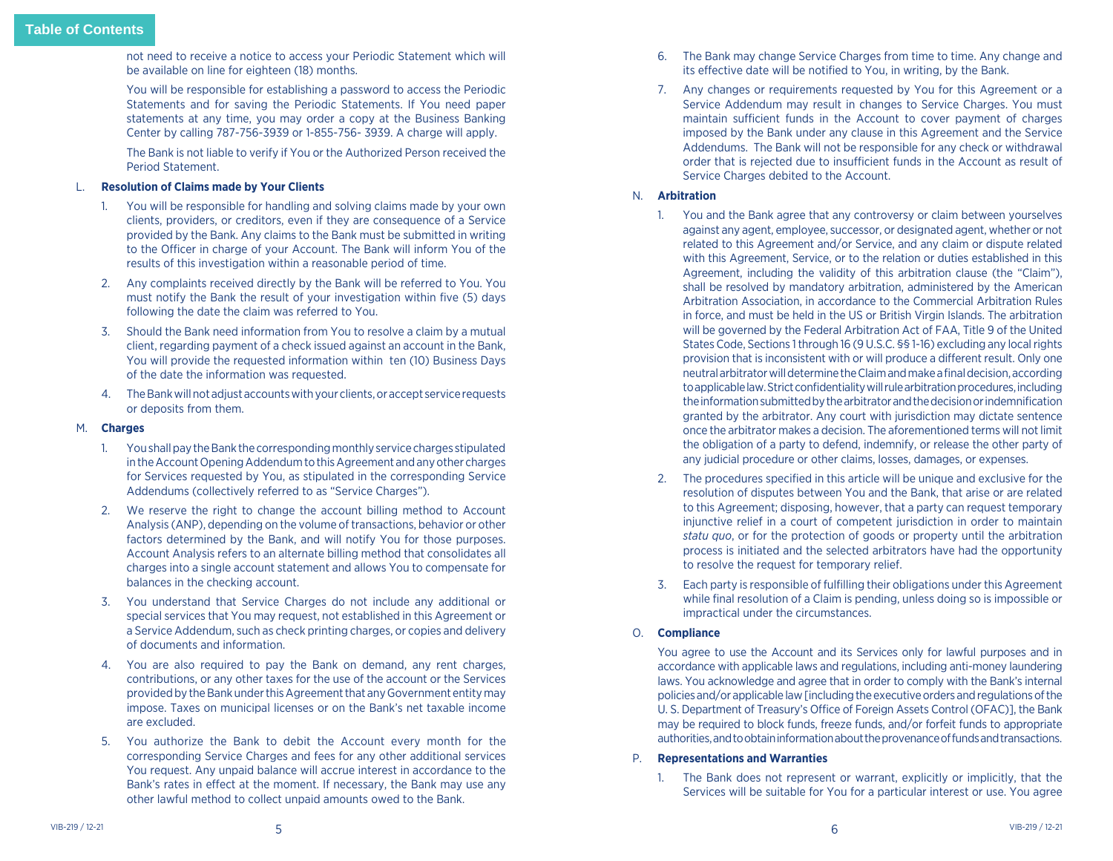not need to receive a notice to access your Periodic Statement which will be available on line for eighteen (18) months.

 You will be responsible for establishing a password to access the Periodic Statements and for saving the Periodic Statements. If You need paper statements at any time, you may order a copy at the Business Banking Center by calling 787-756-3939 or 1-855-756- 3939. A charge will apply.

 The Bank is not liable to verify if You or the Authorized Person received the Period Statement.

# L. **Resolution of Claims made by Your Clients**

- 1. You will be responsible for handling and solving claims made by your own clients, providers, or creditors, even if they are consequence of a Service provided by the Bank. Any claims to the Bank must be submitted in writing to the Officer in charge of your Account. The Bank will inform You of the results of this investigation within a reasonable period of time.
- 2. Any complaints received directly by the Bank will be referred to You. You must notify the Bank the result of your investigation within five (5) days following the date the claim was referred to You.
- 3. Should the Bank need information from You to resolve a claim by a mutual client, regarding payment of a check issued against an account in the Bank, You will provide the requested information within ten (10) Business Days of the date the information was requested.
- 4. The Bank will not adjust accounts with your clients, or accept service requests or deposits from them.

#### M. **Charges**

- 1. You shall pay the Bank the corresponding monthly service charges stipulated in the Account Opening Addendum to this Agreement and any other charges for Services requested by You, as stipulated in the corresponding Service Addendums (collectively referred to as "Service Charges").
- 2. We reserve the right to change the account billing method to Account Analysis (ANP), depending on the volume of transactions, behavior or other factors determined by the Bank, and will notify You for those purposes. Account Analysis refers to an alternate billing method that consolidates all charges into a single account statement and allows You to compensate for balances in the checking account.
- 3. You understand that Service Charges do not include any additional or special services that You may request, not established in this Agreement or a Service Addendum, such as check printing charges, or copies and delivery of documents and information.
- 4. You are also required to pay the Bank on demand, any rent charges, contributions, or any other taxes for the use of the account or the Services provided by the Bank under this Agreement that any Government entity may impose. Taxes on municipal licenses or on the Bank's net taxable income are excluded.
- 5. You authorize the Bank to debit the Account every month for the corresponding Service Charges and fees for any other additional services You request. Any unpaid balance will accrue interest in accordance to the Bank's rates in effect at the moment. If necessary, the Bank may use any other lawful method to collect unpaid amounts owed to the Bank.
- 6. The Bank may change Service Charges from time to time. Any change and its effective date will be notified to You, in writing, by the Bank.
- 7. Any changes or requirements requested by You for this Agreement or a Service Addendum may result in changes to Service Charges. You must maintain sufficient funds in the Account to cover payment of charges imposed by the Bank under any clause in this Agreement and the Service Addendums. The Bank will not be responsible for any check or withdrawal order that is rejected due to insufficient funds in the Account as result of Service Charges debited to the Account.

# N. **Arbitration**

- 1. You and the Bank agree that any controversy or claim between yourselves against any agent, employee, successor, or designated agent, whether or not related to this Agreement and/or Service, and any claim or dispute related with this Agreement, Service, or to the relation or duties established in this Agreement, including the validity of this arbitration clause (the "Claim"), shall be resolved by mandatory arbitration, administered by the American Arbitration Association, in accordance to the Commercial Arbitration Rules in force, and must be held in the US or British Virgin Islands. The arbitration will be governed by the Federal Arbitration Act of FAA, Title 9 of the United States Code, Sections 1 through 16 (9 U.S.C. §§ 1-16) excluding any local rights provision that is inconsistent with or will produce a different result. Only one neutral arbitrator will determine the Claim and make a final decision, according to applicable law. Strict confidentiality will rule arbitration procedures, including the information submitted by the arbitrator and the decision or indemnification granted by the arbitrator. Any court with jurisdiction may dictate sentence once the arbitrator makes a decision. The aforementioned terms will not limit the obligation of a party to defend, indemnify, or release the other party of any judicial procedure or other claims, losses, damages, or expenses.
- 2. The procedures specified in this article will be unique and exclusive for the resolution of disputes between You and the Bank, that arise or are related to this Agreement; disposing, however, that a party can request temporary injunctive relief in a court of competent jurisdiction in order to maintain *statu quo*, or for the protection of goods or property until the arbitration process is initiated and the selected arbitrators have had the opportunity to resolve the request for temporary relief.
- 3. Each party is responsible of fulfilling their obligations under this Agreement while final resolution of a Claim is pending, unless doing so is impossible or impractical under the circumstances.

# O. **Compliance**

 You agree to use the Account and its Services only for lawful purposes and in accordance with applicable laws and regulations, including anti-money laundering laws. You acknowledge and agree that in order to comply with the Bank's internal policies and/or applicable law [including the executive orders and regulations of the U. S. Department of Treasury's Office of Foreign Assets Control (OFAC)], the Bank may be required to block funds, freeze funds, and/or forfeit funds to appropriate authorities, and to obtain information about the provenance of funds and transactions.

# P. **Representations and Warranties**

1. The Bank does not represent or warrant, explicitly or implicitly, that the Services will be suitable for You for a particular interest or use. You agree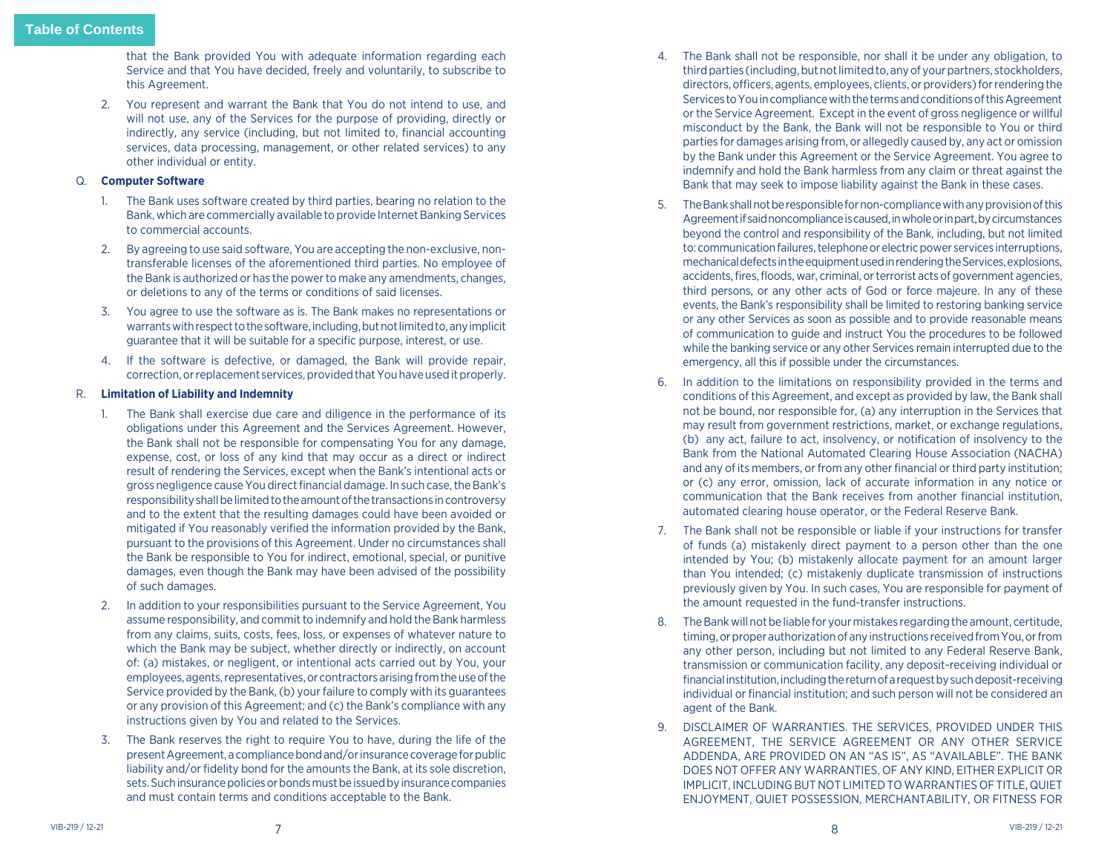that the Bank provided You with adequate information regarding each Service and that You have decided, freely and voluntarily, to subscribe to this Agreement.

2. You represent and warrant the Bank that You do not intend to use, and will not use, any of the Services for the purpose of providing, directly or indirectly, any service (including, but not limited to, financial accounting services, data processing, management, or other related services) to any other individual or entity.

# Q. **Computer Software**

- 1. The Bank uses software created by third parties, bearing no relation to the Bank, which are commercially available to provide Internet Banking Services to commercial accounts.
- 2. By agreeing to use said software, You are accepting the non-exclusive, nontransferable licenses of the aforementioned third parties. No employee of the Bank is authorized or has the power to make any amendments, changes, or deletions to any of the terms or conditions of said licenses.
- 3. You agree to use the software as is. The Bank makes no representations or warrants with respect to the software, including, but not limited to, any implicit guarantee that it will be suitable for a specific purpose, interest, or use.
- 4. If the software is defective, or damaged, the Bank will provide repair, correction, or replacement services, provided that You have used it properly.

# R. **Limitation of Liability and Indemnity**

- 1. The Bank shall exercise due care and diligence in the performance of its obligations under this Agreement and the Services Agreement. However, the Bank shall not be responsible for compensating You for any damage, expense, cost, or loss of any kind that may occur as a direct or indirect result of rendering the Services, except when the Bank's intentional acts or gross negligence cause You direct financial damage. In such case, the Bank's responsibility shall be limited to the amount of the transactions in controversy and to the extent that the resulting damages could have been avoided or mitigated if You reasonably verified the information provided by the Bank, pursuant to the provisions of this Agreement. Under no circumstances shall the Bank be responsible to You for indirect, emotional, special, or punitive damages, even though the Bank may have been advised of the possibility of such damages.
- 2. In addition to your responsibilities pursuant to the Service Agreement, You assume responsibility, and commit to indemnify and hold the Bank harmless from any claims, suits, costs, fees, loss, or expenses of whatever nature to which the Bank may be subject, whether directly or indirectly, on account of: (a) mistakes, or negligent, or intentional acts carried out by You, your employees, agents, representatives, or contractors arising from the use of the Service provided by the Bank, (b) your failure to comply with its guarantees or any provision of this Agreement; and (c) the Bank's compliance with any instructions given by You and related to the Services.
- 3. The Bank reserves the right to require You to have, during the life of the present Agreement, a compliance bond and/or insurance coverage for public liability and/or fidelity bond for the amounts the Bank, at its sole discretion, sets. Such insurance policies or bonds must be issued by insurance companies and must contain terms and conditions acceptable to the Bank.
- 4. The Bank shall not be responsible, nor shall it be under any obligation, to third parties (including, but not limited to, any of your partners, stockholders, directors, officers, agents, employees, clients, or providers) for rendering the Services to You in compliance with the terms and conditions of this Agreement or the Service Agreement. Except in the event of gross negligence or willful misconduct by the Bank, the Bank will not be responsible to You or third parties for damages arising from, or allegedly caused by, any act or omission by the Bank under this Agreement or the Service Agreement. You agree to indemnify and hold the Bank harmless from any claim or threat against the Bank that may seek to impose liability against the Bank in these cases.
- 5. The Bank shall not be responsible for non-compliance with any provision of this Agreement if said noncompliance is caused, in whole or in part, by circumstances beyond the control and responsibility of the Bank, including, but not limited to: communication failures, telephone or electric power services interruptions, mechanical defects in the equipment used in rendering the Services, explosions, accidents, fires, floods, war, criminal, or terrorist acts of government agencies, third persons, or any other acts of God or force majeure. In any of these events, the Bank's responsibility shall be limited to restoring banking service or any other Services as soon as possible and to provide reasonable means of communication to guide and instruct You the procedures to be followed while the banking service or any other Services remain interrupted due to the emergency, all this if possible under the circumstances.
- 6. In addition to the limitations on responsibility provided in the terms and conditions of this Agreement, and except as provided by law, the Bank shall not be bound, nor responsible for, (a) any interruption in the Services that may result from government restrictions, market, or exchange regulations, (b) any act, failure to act, insolvency, or notification of insolvency to the Bank from the National Automated Clearing House Association (NACHA) and any of its members, or from any other financial or third party institution; or (c) any error, omission, lack of accurate information in any notice or communication that the Bank receives from another financial institution, automated clearing house operator, or the Federal Reserve Bank.
- 7. The Bank shall not be responsible or liable if your instructions for transfer of funds (a) mistakenly direct payment to a person other than the one intended by You; (b) mistakenly allocate payment for an amount larger than You intended; (c) mistakenly duplicate transmission of instructions previously given by You. In such cases, You are responsible for payment of the amount requested in the fund-transfer instructions.
- 8. The Bank will not be liable for your mistakes regarding the amount, certitude, timing, or proper authorization of any instructions received from You, or from any other person, including but not limited to any Federal Reserve Bank, transmission or communication facility, any deposit-receiving individual or financial institution, including the return of a request by such deposit-receiving individual or financial institution; and such person will not be considered an agent of the Bank.
- 9. DISCLAIMER OF WARRANTIES. THE SERVICES, PROVIDED UNDER THIS AGREEMENT, THE SERVICE AGREEMENT OR ANY OTHER SERVICE ADDENDA, ARE PROVIDED ON AN "AS IS", AS "AVAILABLE". THE BANK DOES NOT OFFER ANY WARRANTIES, OF ANY KIND, EITHER EXPLICIT OR IMPLICIT, INCLUDING BUT NOT LIMITED TO WARRANTIES OF TITLE, QUIET ENJOYMENT, QUIET POSSESSION, MERCHANTABILITY, OR FITNESS FOR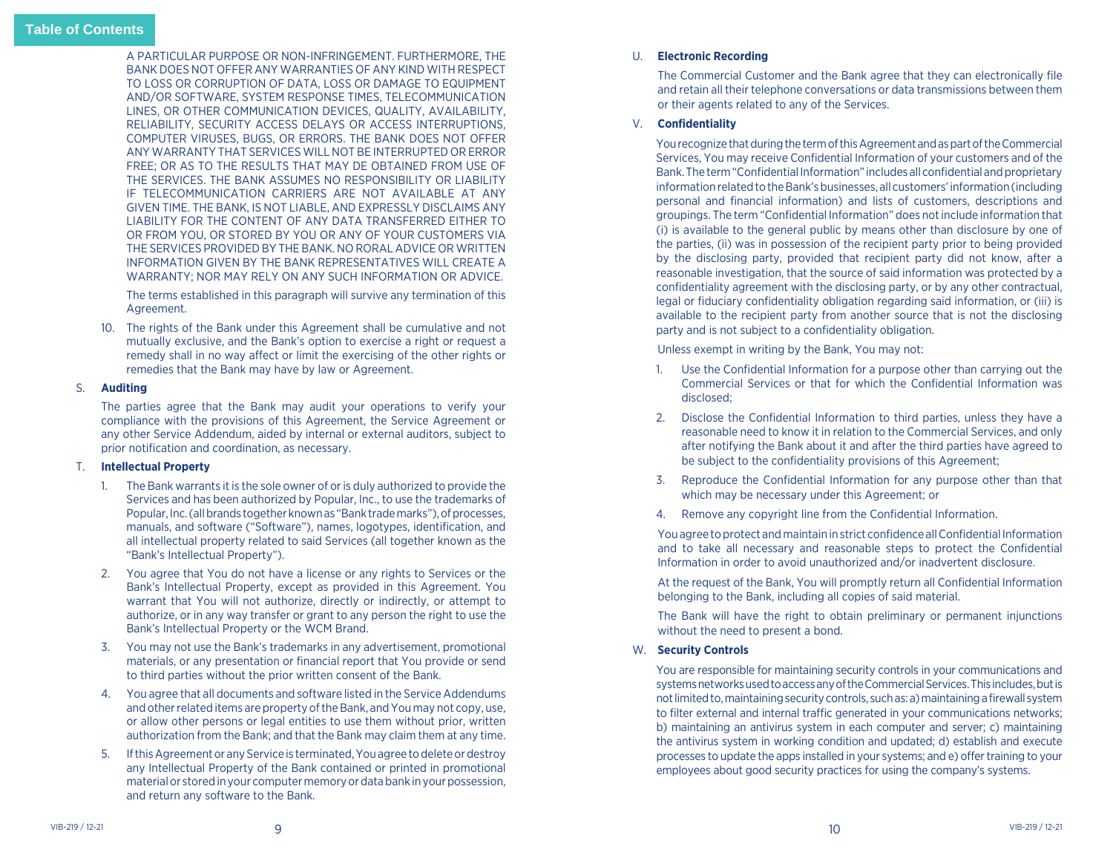A PARTICULAR PURPOSE OR NON-INFRINGEMENT. FURTHERMORE, THE BANK DOES NOT OFFER ANY WARRANTIES OF ANY KIND WITH RESPECT TO LOSS OR CORRUPTION OF DATA, LOSS OR DAMAGE TO EQUIPMENT AND/OR SOFTWARE, SYSTEM RESPONSE TIMES, TELECOMMUNICATION LINES, OR OTHER COMMUNICATION DEVICES, QUALITY, AVAILABILITY, RELIABILITY, SECURITY ACCESS DELAYS OR ACCESS INTERRUPTIONS, COMPUTER VIRUSES, BUGS, OR ERRORS. THE BANK DOES NOT OFFER ANY WARRANTY THAT SERVICES WILL NOT BE INTERRUPTED OR ERROR FREE; OR AS TO THE RESULTS THAT MAY DE OBTAINED FROM USE OF THE SERVICES. THE BANK ASSUMES NO RESPONSIBILITY OR LIABILITY IF TELECOMMUNICATION CARRIERS ARE NOT AVAILABLE AT ANY GIVEN TIME. THE BANK, IS NOT LIABLE, AND EXPRESSLY DISCLAIMS ANY LIABILITY FOR THE CONTENT OF ANY DATA TRANSFERRED EITHER TO OR FROM YOU, OR STORED BY YOU OR ANY OF YOUR CUSTOMERS VIA THE SERVICES PROVIDED BY THE BANK. NO RORAL ADVICE OR WRITTEN INFORMATION GIVEN BY THE BANK REPRESENTATIVES WILL CREATE A WARRANTY; NOR MAY RELY ON ANY SUCH INFORMATION OR ADVICE.

 The terms established in this paragraph will survive any termination of this Agreement.

10. The rights of the Bank under this Agreement shall be cumulative and not mutually exclusive, and the Bank's option to exercise a right or request a remedy shall in no way affect or limit the exercising of the other rights or remedies that the Bank may have by law or Agreement.

#### S. **Auditing**

 The parties agree that the Bank may audit your operations to verify your compliance with the provisions of this Agreement, the Service Agreement or any other Service Addendum, aided by internal or external auditors, subject to prior notification and coordination, as necessary.

#### T. **Intellectual Property**

- 1. The Bank warrants it is the sole owner of or is duly authorized to provide the Services and has been authorized by Popular, Inc., to use the trademarks of Popular, Inc. (all brands together known as "Bank trade marks"), of processes, manuals, and software ("Software"), names, logotypes, identification, and all intellectual property related to said Services (all together known as the "Bank's Intellectual Property").
- 2. You agree that You do not have a license or any rights to Services or the Bank's Intellectual Property, except as provided in this Agreement. You warrant that You will not authorize, directly or indirectly, or attempt to authorize, or in any way transfer or grant to any person the right to use the Bank's Intellectual Property or the WCM Brand.
- 3. You may not use the Bank's trademarks in any advertisement, promotional materials, or any presentation or financial report that You provide or send to third parties without the prior written consent of the Bank.
- 4. You agree that all documents and software listed in the Service Addendums and other related items are property of the Bank, and You may not copy, use, or allow other persons or legal entities to use them without prior, written authorization from the Bank; and that the Bank may claim them at any time.
- 5. If this Agreement or any Service is terminated, You agree to delete or destroy any Intellectual Property of the Bank contained or printed in promotional material or stored in your computer memory or data bank in your possession, and return any software to the Bank.

#### U. **Electronic Recording**

The Commercial Customer and the Bank agree that they can electronically file and retain all their telephone conversations or data transmissions between them or their agents related to any of the Services.

# V. **Confidentiality**

You recognize that during the term of this Agreement and as part of the Commercial Services, You may receive Confidential Information of your customers and of the Bank. The term "Confidential Information" includes all confidential and proprietary information related to the Bank's businesses, all customers' information (including personal and financial information) and lists of customers, descriptions and groupings. The term "Confidential Information" does not include information that (i) is available to the general public by means other than disclosure by one of the parties, (ii) was in possession of the recipient party prior to being provided by the disclosing party, provided that recipient party did not know, after a reasonable investigation, that the source of said information was protected by a confidentiality agreement with the disclosing party, or by any other contractual, legal or fiduciary confidentiality obligation regarding said information, or (iii) is available to the recipient party from another source that is not the disclosing party and is not subject to a confidentiality obligation.

Unless exempt in writing by the Bank, You may not:

- 1. Use the Confidential Information for a purpose other than carrying out the Commercial Services or that for which the Confidential Information was disclosed;
- 2. Disclose the Confidential Information to third parties, unless they have a reasonable need to know it in relation to the Commercial Services, and only after notifying the Bank about it and after the third parties have agreed to be subject to the confidentiality provisions of this Agreement;
- 3. Reproduce the Confidential Information for any purpose other than that which may be necessary under this Agreement; or
- 4. Remove any copyright line from the Confidential Information.

You agree to protect and maintain in strict confidence all Confidential Information and to take all necessary and reasonable steps to protect the Confidential Information in order to avoid unauthorized and/or inadvertent disclosure.

At the request of the Bank, You will promptly return all Confidential Information belonging to the Bank, including all copies of said material.

The Bank will have the right to obtain preliminary or permanent injunctions without the need to present a bond.

# W. **Security Controls**

You are responsible for maintaining security controls in your communications and systems networks used to access any of the Commercial Services. This includes, but is not limited to, maintaining security controls, such as: a) maintaining a firewall system to filter external and internal traffic generated in your communications networks; b) maintaining an antivirus system in each computer and server; c) maintaining the antivirus system in working condition and updated; d) establish and execute processes to update the apps installed in your systems; and e) offer training to your employees about good security practices for using the company's systems.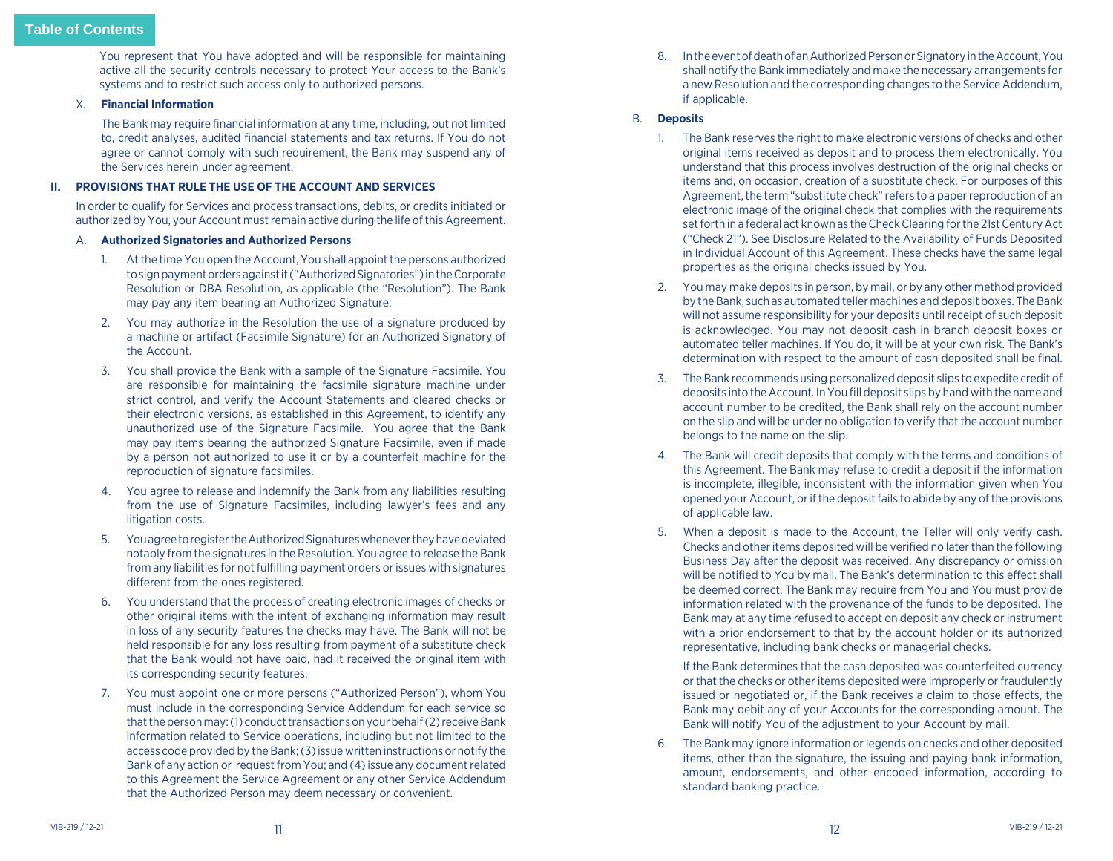<span id="page-6-0"></span>You represent that You have adopted and will be responsible for maintaining active all the security controls necessary to protect Your access to the Bank's systems and to restrict such access only to authorized persons.

# X. **Financial Information**

The Bank may require financial information at any time, including, but not limited to, credit analyses, audited financial statements and tax returns. If You do not agree or cannot comply with such requirement, the Bank may suspend any of the Services herein under agreement.

# **II. PROVISIONS THAT RULE THE USE OF THE ACCOUNT AND SERVICES**

In order to qualify for Services and process transactions, debits, or credits initiated or authorized by You, your Account must remain active during the life of this Agreement.

#### A. **Authorized Signatories and Authorized Persons**

- 1. At the time You open the Account, You shall appoint the persons authorized to sign payment orders against it ("Authorized Signatories") in the Corporate Resolution or DBA Resolution, as applicable (the "Resolution"). The Bank may pay any item bearing an Authorized Signature.
- 2. You may authorize in the Resolution the use of a signature produced by a machine or artifact (Facsimile Signature) for an Authorized Signatory of the Account.
- 3. You shall provide the Bank with a sample of the Signature Facsimile. You are responsible for maintaining the facsimile signature machine under strict control, and verify the Account Statements and cleared checks or their electronic versions, as established in this Agreement, to identify any unauthorized use of the Signature Facsimile. You agree that the Bank may pay items bearing the authorized Signature Facsimile, even if made by a person not authorized to use it or by a counterfeit machine for the reproduction of signature facsimiles.
- 4. You agree to release and indemnify the Bank from any liabilities resulting from the use of Signature Facsimiles, including lawyer's fees and any litigation costs.
- 5. You agree to register the Authorized Signatures whenever they have deviated notably from the signatures in the Resolution. You agree to release the Bank from any liabilities for not fulfilling payment orders or issues with signatures different from the ones registered.
- 6. You understand that the process of creating electronic images of checks or other original items with the intent of exchanging information may result in loss of any security features the checks may have. The Bank will not be held responsible for any loss resulting from payment of a substitute check that the Bank would not have paid, had it received the original item with its corresponding security features.
- 7. You must appoint one or more persons ("Authorized Person"), whom You must include in the corresponding Service Addendum for each service so that the person may: (1) conduct transactions on your behalf (2) receive Bank information related to Service operations, including but not limited to the access code provided by the Bank; (3) issue written instructions or notify the Bank of any action or request from You; and (4) issue any document related to this Agreement the Service Agreement or any other Service Addendum that the Authorized Person may deem necessary or convenient.

8. In the event of death of an Authorized Person or Signatory in the Account, You shall notify the Bank immediately and make the necessary arrangements for a new Resolution and the corresponding changes to the Service Addendum, if applicable.

#### B. **Deposits**

- 1. The Bank reserves the right to make electronic versions of checks and other original items received as deposit and to process them electronically. You understand that this process involves destruction of the original checks or items and, on occasion, creation of a substitute check. For purposes of this Agreement, the term "substitute check" refers to a paper reproduction of an electronic image of the original check that complies with the requirements set forth in a federal act known as the Check Clearing for the 21st Century Act ("Check 21"). See Disclosure Related to the Availability of Funds Deposited in Individual Account of this Agreement. These checks have the same legal properties as the original checks issued by You.
- 2. You may make deposits in person, by mail, or by any other method provided by the Bank, such as automated teller machines and deposit boxes. The Bank will not assume responsibility for your deposits until receipt of such deposit is acknowledged. You may not deposit cash in branch deposit boxes or automated teller machines. If You do, it will be at your own risk. The Bank's determination with respect to the amount of cash deposited shall be final.
- 3. The Bank recommends using personalized deposit slips to expedite credit of deposits into the Account. In You fill deposit slips by hand with the name and account number to be credited, the Bank shall rely on the account number on the slip and will be under no obligation to verify that the account number belongs to the name on the slip.
- 4. The Bank will credit deposits that comply with the terms and conditions of this Agreement. The Bank may refuse to credit a deposit if the information is incomplete, illegible, inconsistent with the information given when You opened your Account, or if the deposit fails to abide by any of the provisions of applicable law.
- 5. When a deposit is made to the Account, the Teller will only verify cash. Checks and other items deposited will be verified no later than the following Business Day after the deposit was received. Any discrepancy or omission will be notified to You by mail. The Bank's determination to this effect shall be deemed correct. The Bank may require from You and You must provide information related with the provenance of the funds to be deposited. The Bank may at any time refused to accept on deposit any check or instrument with a prior endorsement to that by the account holder or its authorized representative, including bank checks or managerial checks.

 If the Bank determines that the cash deposited was counterfeited currency or that the checks or other items deposited were improperly or fraudulently issued or negotiated or, if the Bank receives a claim to those effects, the Bank may debit any of your Accounts for the corresponding amount. The Bank will notify You of the adjustment to your Account by mail.

6. The Bank may ignore information or legends on checks and other deposited items, other than the signature, the issuing and paying bank information, amount, endorsements, and other encoded information, according to standard banking practice.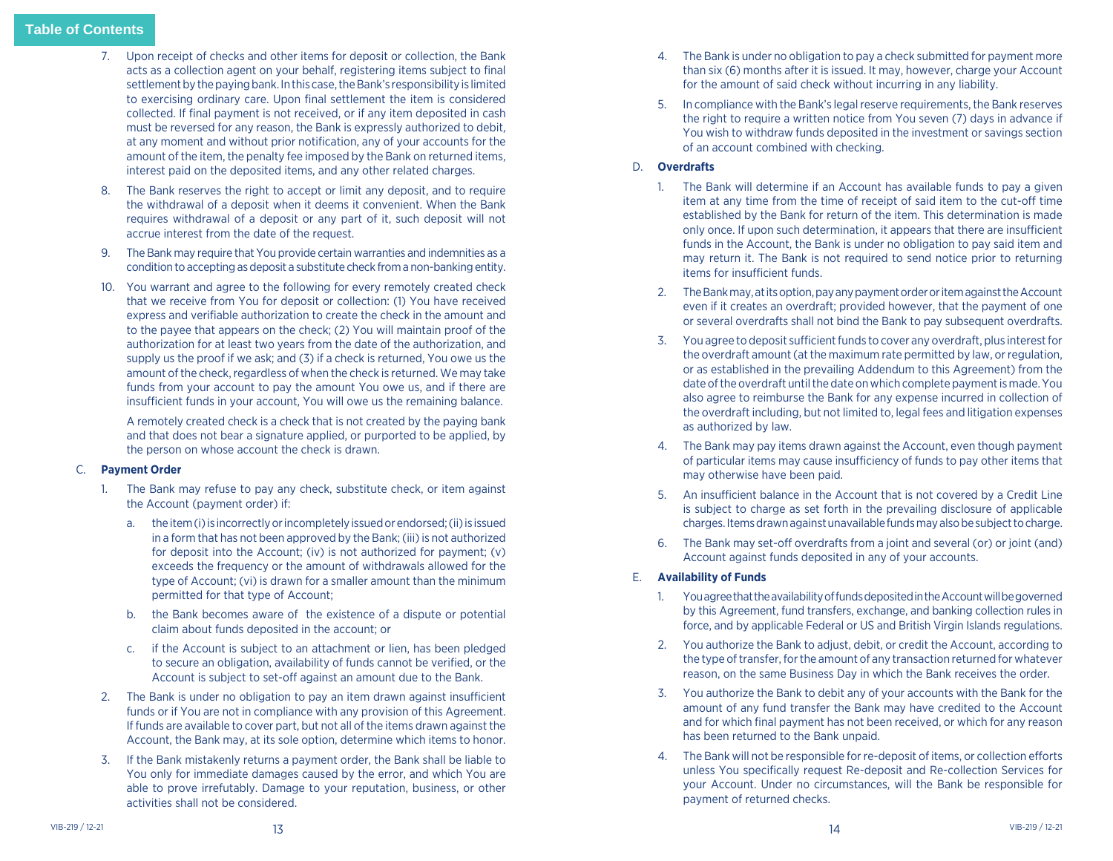- 7. Upon receipt of checks and other items for deposit or collection, the Bank acts as a collection agent on your behalf, registering items subject to final settlement by the paying bank. In this case, the Bank's responsibility is limited to exercising ordinary care. Upon final settlement the item is considered collected. If final payment is not received, or if any item deposited in cash must be reversed for any reason, the Bank is expressly authorized to debit, at any moment and without prior notification, any of your accounts for the amount of the item, the penalty fee imposed by the Bank on returned items, interest paid on the deposited items, and any other related charges.
- 8. The Bank reserves the right to accept or limit any deposit, and to require the withdrawal of a deposit when it deems it convenient. When the Bank requires withdrawal of a deposit or any part of it, such deposit will not accrue interest from the date of the request.
- 9. The Bank may require that You provide certain warranties and indemnities as a condition to accepting as deposit a substitute check from a non-banking entity.
- 10. You warrant and agree to the following for every remotely created check that we receive from You for deposit or collection: (1) You have received express and verifiable authorization to create the check in the amount and to the payee that appears on the check; (2) You will maintain proof of the authorization for at least two years from the date of the authorization, and supply us the proof if we ask; and (3) if a check is returned, You owe us the amount of the check, regardless of when the check is returned. We may take funds from your account to pay the amount You owe us, and if there are insufficient funds in your account, You will owe us the remaining balance.

 A remotely created check is a check that is not created by the paying bank and that does not bear a signature applied, or purported to be applied, by the person on whose account the check is drawn.

# C. **Payment Order**

- 1. The Bank may refuse to pay any check, substitute check, or item against the Account (payment order) if:
	- a. the item (i) is incorrectly or incompletely issued or endorsed; (ii) is issued in a form that has not been approved by the Bank; (iii) is not authorized for deposit into the Account; (iv) is not authorized for payment; (v) exceeds the frequency or the amount of withdrawals allowed for the type of Account; (vi) is drawn for a smaller amount than the minimum permitted for that type of Account;
	- b. the Bank becomes aware of the existence of a dispute or potential claim about funds deposited in the account; or
	- c. if the Account is subject to an attachment or lien, has been pledged to secure an obligation, availability of funds cannot be verified, or the Account is subject to set-off against an amount due to the Bank.
- 2. The Bank is under no obligation to pay an item drawn against insufficient funds or if You are not in compliance with any provision of this Agreement. If funds are available to cover part, but not all of the items drawn against the Account, the Bank may, at its sole option, determine which items to honor.
- 3. If the Bank mistakenly returns a payment order, the Bank shall be liable to You only for immediate damages caused by the error, and which You are able to prove irrefutably. Damage to your reputation, business, or other activities shall not be considered.
- 4. The Bank is under no obligation to pay a check submitted for payment more than six (6) months after it is issued. It may, however, charge your Account for the amount of said check without incurring in any liability.
- 5. In compliance with the Bank's legal reserve requirements, the Bank reserves the right to require a written notice from You seven (7) days in advance if You wish to withdraw funds deposited in the investment or savings section of an account combined with checking.

# D. **Overdrafts**

- 1. The Bank will determine if an Account has available funds to pay a given item at any time from the time of receipt of said item to the cut-off time established by the Bank for return of the item. This determination is made only once. If upon such determination, it appears that there are insufficient funds in the Account, the Bank is under no obligation to pay said item and may return it. The Bank is not required to send notice prior to returning items for insufficient funds.
- 2. The Bank may, at its option, pay any payment order or item against the Account even if it creates an overdraft; provided however, that the payment of one or several overdrafts shall not bind the Bank to pay subsequent overdrafts.
- 3. You agree to deposit sufficient funds to cover any overdraft, plus interest for the overdraft amount (at the maximum rate permitted by law, or regulation, or as established in the prevailing Addendum to this Agreement) from the date of the overdraft until the date on which complete payment is made. You also agree to reimburse the Bank for any expense incurred in collection of the overdraft including, but not limited to, legal fees and litigation expenses as authorized by law.
- 4. The Bank may pay items drawn against the Account, even though payment of particular items may cause insufficiency of funds to pay other items that may otherwise have been paid.
- 5. An insufficient balance in the Account that is not covered by a Credit Line is subject to charge as set forth in the prevailing disclosure of applicable charges. Items drawn against unavailable funds may also be subject to charge.
- 6. The Bank may set-off overdrafts from a joint and several (or) or joint (and) Account against funds deposited in any of your accounts.

# E. **Availability of Funds**

- 1. You agree that the availability of funds deposited in the Account will be governed by this Agreement, fund transfers, exchange, and banking collection rules in force, and by applicable Federal or US and British Virgin Islands regulations.
- 2. You authorize the Bank to adjust, debit, or credit the Account, according to the type of transfer, for the amount of any transaction returned for whatever reason, on the same Business Day in which the Bank receives the order.
- 3. You authorize the Bank to debit any of your accounts with the Bank for the amount of any fund transfer the Bank may have credited to the Account and for which final payment has not been received, or which for any reason has been returned to the Bank unpaid.
- 4. The Bank will not be responsible for re-deposit of items, or collection efforts unless You specifically request Re-deposit and Re-collection Services for your Account. Under no circumstances, will the Bank be responsible for payment of returned checks.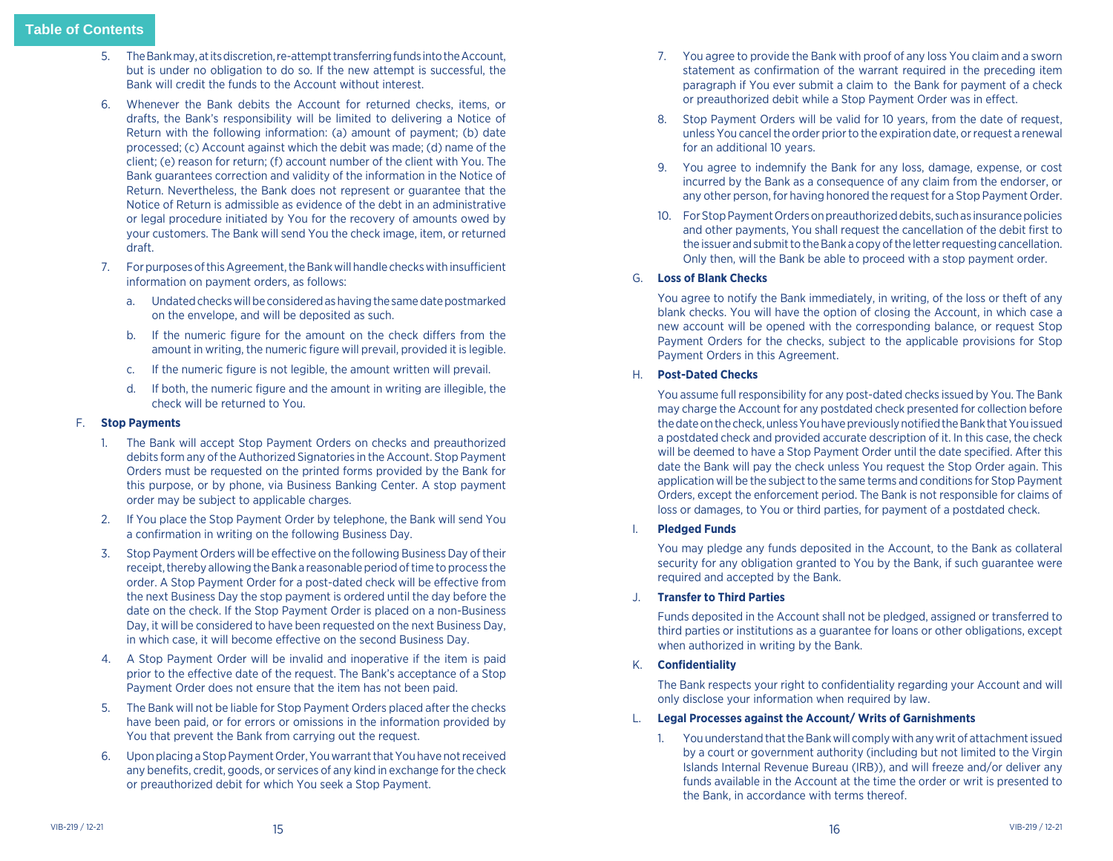- 5. The Bank may, at its discretion, re-attempt transferring funds into the Account, but is under no obligation to do so. If the new attempt is successful, the Bank will credit the funds to the Account without interest.
- 6. Whenever the Bank debits the Account for returned checks, items, or drafts, the Bank's responsibility will be limited to delivering a Notice of Return with the following information: (a) amount of payment; (b) date processed; (c) Account against which the debit was made; (d) name of the client; (e) reason for return; (f) account number of the client with You. The Bank guarantees correction and validity of the information in the Notice of Return. Nevertheless, the Bank does not represent or guarantee that the Notice of Return is admissible as evidence of the debt in an administrative or legal procedure initiated by You for the recovery of amounts owed by your customers. The Bank will send You the check image, item, or returned draft.
- 7. For purposes of this Agreement, the Bank will handle checks with insufficient information on payment orders, as follows:
	- a. Undated checks will be considered as having the same date postmarked on the envelope, and will be deposited as such.
	- b. If the numeric figure for the amount on the check differs from the amount in writing, the numeric figure will prevail, provided it is legible.
	- c. If the numeric figure is not legible, the amount written will prevail.
	- d. If both, the numeric figure and the amount in writing are illegible, the check will be returned to You.

# F. **Stop Payments**

- 1. The Bank will accept Stop Payment Orders on checks and preauthorized debits form any of the Authorized Signatories in the Account. Stop Payment Orders must be requested on the printed forms provided by the Bank for this purpose, or by phone, via Business Banking Center. A stop payment order may be subject to applicable charges.
- 2. If You place the Stop Payment Order by telephone, the Bank will send You a confirmation in writing on the following Business Day.
- 3. Stop Payment Orders will be effective on the following Business Day of their receipt, thereby allowing the Bank a reasonable period of time to process the order. A Stop Payment Order for a post-dated check will be effective from the next Business Day the stop payment is ordered until the day before the date on the check. If the Stop Payment Order is placed on a non-Business Day, it will be considered to have been requested on the next Business Day, in which case, it will become effective on the second Business Day.
- 4. A Stop Payment Order will be invalid and inoperative if the item is paid prior to the effective date of the request. The Bank's acceptance of a Stop Payment Order does not ensure that the item has not been paid.
- 5. The Bank will not be liable for Stop Payment Orders placed after the checks have been paid, or for errors or omissions in the information provided by You that prevent the Bank from carrying out the request.
- 6. Upon placing a Stop Payment Order, You warrant that You have not received any benefits, credit, goods, or services of any kind in exchange for the check or preauthorized debit for which You seek a Stop Payment.
- 7. You agree to provide the Bank with proof of any loss You claim and a sworn statement as confirmation of the warrant required in the preceding item paragraph if You ever submit a claim to the Bank for payment of a check or preauthorized debit while a Stop Payment Order was in effect.
- 8. Stop Payment Orders will be valid for 10 years, from the date of request, unless You cancel the order prior to the expiration date, or request a renewal for an additional 10 years.
- 9. You agree to indemnify the Bank for any loss, damage, expense, or cost incurred by the Bank as a consequence of any claim from the endorser, or any other person, for having honored the request for a Stop Payment Order.
- 10. For Stop Payment Orders on preauthorized debits, such as insurance policies and other payments, You shall request the cancellation of the debit first to the issuer and submit to the Bank a copy of the letter requesting cancellation. Only then, will the Bank be able to proceed with a stop payment order.

# G. **Loss of Blank Checks**

 You agree to notify the Bank immediately, in writing, of the loss or theft of any blank checks. You will have the option of closing the Account, in which case a new account will be opened with the corresponding balance, or request Stop Payment Orders for the checks, subject to the applicable provisions for Stop Payment Orders in this Agreement.

#### H. **Post-Dated Checks**

 You assume full responsibility for any post-dated checks issued by You. The Bank may charge the Account for any postdated check presented for collection before the date on the check, unless You have previously notified the Bank that You issued a postdated check and provided accurate description of it. In this case, the check will be deemed to have a Stop Payment Order until the date specified. After this date the Bank will pay the check unless You request the Stop Order again. This application will be the subject to the same terms and conditions for Stop Payment Orders, except the enforcement period. The Bank is not responsible for claims of loss or damages, to You or third parties, for payment of a postdated check.

#### I. **Pledged Funds**

 You may pledge any funds deposited in the Account, to the Bank as collateral security for any obligation granted to You by the Bank, if such guarantee were required and accepted by the Bank.

#### J. **Transfer to Third Parties**

 Funds deposited in the Account shall not be pledged, assigned or transferred to third parties or institutions as a guarantee for loans or other obligations, except when authorized in writing by the Bank.

#### K. **Confidentiality**

The Bank respects your right to confidentiality regarding your Account and will only disclose your information when required by law.

#### L. **Legal Processes against the Account/ Writs of Garnishments**

1. You understand that the Bank will comply with any writ of attachment issued by a court or government authority (including but not limited to the Virgin Islands Internal Revenue Bureau (IRB)), and will freeze and/or deliver any funds available in the Account at the time the order or writ is presented to the Bank, in accordance with terms thereof.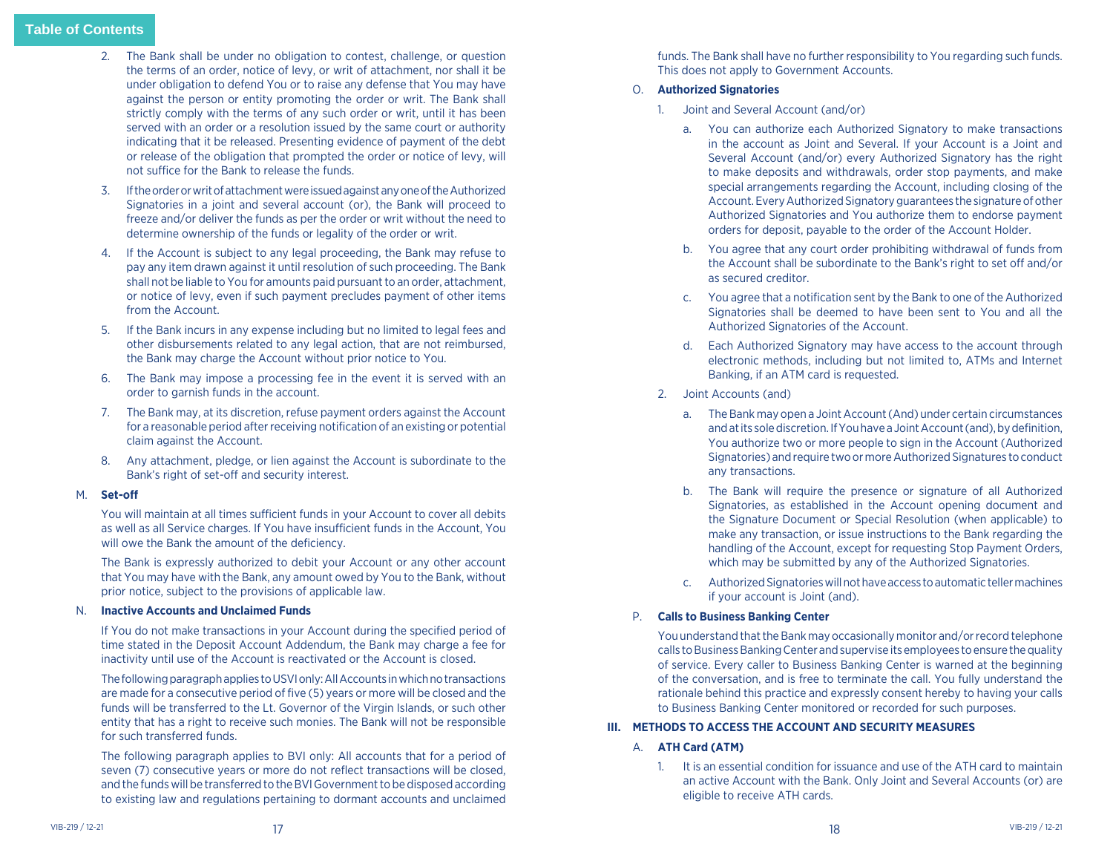- <span id="page-9-0"></span>2. The Bank shall be under no obligation to contest, challenge, or question the terms of an order, notice of levy, or writ of attachment, nor shall it be under obligation to defend You or to raise any defense that You may have against the person or entity promoting the order or writ. The Bank shall strictly comply with the terms of any such order or writ, until it has been served with an order or a resolution issued by the same court or authority indicating that it be released. Presenting evidence of payment of the debt or release of the obligation that prompted the order or notice of levy, will not suffice for the Bank to release the funds.
- 3. If the order or writ of attachment were issued against any one of the Authorized Signatories in a joint and several account (or), the Bank will proceed to freeze and/or deliver the funds as per the order or writ without the need to determine ownership of the funds or legality of the order or writ.
- 4. If the Account is subject to any legal proceeding, the Bank may refuse to pay any item drawn against it until resolution of such proceeding. The Bank shall not be liable to You for amounts paid pursuant to an order, attachment, or notice of levy, even if such payment precludes payment of other items from the Account.
- 5. If the Bank incurs in any expense including but no limited to legal fees and other disbursements related to any legal action, that are not reimbursed, the Bank may charge the Account without prior notice to You.
- 6. The Bank may impose a processing fee in the event it is served with an order to garnish funds in the account.
- 7. The Bank may, at its discretion, refuse payment orders against the Account for a reasonable period after receiving notification of an existing or potential claim against the Account.
- 8. Any attachment, pledge, or lien against the Account is subordinate to the Bank's right of set-off and security interest.

# M. **Set-off**

You will maintain at all times sufficient funds in your Account to cover all debits as well as all Service charges. If You have insufficient funds in the Account, You will owe the Bank the amount of the deficiency.

 The Bank is expressly authorized to debit your Account or any other account that You may have with the Bank, any amount owed by You to the Bank, without prior notice, subject to the provisions of applicable law.

# N. **Inactive Accounts and Unclaimed Funds**

If You do not make transactions in your Account during the specified period of time stated in the Deposit Account Addendum, the Bank may charge a fee for inactivity until use of the Account is reactivated or the Account is closed.

 The following paragraph applies to USVI only: All Accounts in which no transactions are made for a consecutive period of five (5) years or more will be closed and the funds will be transferred to the Lt. Governor of the Virgin Islands, or such other entity that has a right to receive such monies. The Bank will not be responsible for such transferred funds.

 The following paragraph applies to BVI only: All accounts that for a period of seven (7) consecutive years or more do not reflect transactions will be closed, and the funds will be transferred to the BVI Government to be disposed according to existing law and regulations pertaining to dormant accounts and unclaimed

funds. The Bank shall have no further responsibility to You regarding such funds. This does not apply to Government Accounts.

# O. **Authorized Signatories**

- 1. Joint and Several Account (and/or)
	- a. You can authorize each Authorized Signatory to make transactions in the account as Joint and Several. If your Account is a Joint and Several Account (and/or) every Authorized Signatory has the right to make deposits and withdrawals, order stop payments, and make special arrangements regarding the Account, including closing of the Account. Every Authorized Signatory guarantees the signature of other Authorized Signatories and You authorize them to endorse payment orders for deposit, payable to the order of the Account Holder.
	- b. You agree that any court order prohibiting withdrawal of funds from the Account shall be subordinate to the Bank's right to set off and/or as secured creditor.
	- c. You agree that a notification sent by the Bank to one of the Authorized Signatories shall be deemed to have been sent to You and all the Authorized Signatories of the Account.
	- d. Each Authorized Signatory may have access to the account through electronic methods, including but not limited to, ATMs and Internet Banking, if an ATM card is requested.
- 2. Joint Accounts (and)
	- a. The Bank may open a Joint Account (And) under certain circumstances and at its sole discretion. If You have a Joint Account (and), by definition, You authorize two or more people to sign in the Account (Authorized Signatories) and require two or more Authorized Signatures to conduct any transactions.
	- b. The Bank will require the presence or signature of all Authorized Signatories, as established in the Account opening document and the Signature Document or Special Resolution (when applicable) to make any transaction, or issue instructions to the Bank regarding the handling of the Account, except for requesting Stop Payment Orders, which may be submitted by any of the Authorized Signatories.
	- c. Authorized Signatories will not have access to automatic teller machines if your account is Joint (and).

# P. **Calls to Business Banking Center**

 You understand that the Bank may occasionally monitor and/or record telephone calls to Business Banking Center and supervise its employees to ensure the quality of service. Every caller to Business Banking Center is warned at the beginning of the conversation, and is free to terminate the call. You fully understand the rationale behind this practice and expressly consent hereby to having your calls to Business Banking Center monitored or recorded for such purposes.

# **III. METHODS TO ACCESS THE ACCOUNT AND SECURITY MEASURES**

# A. **ATH Card (ATM)**

1. It is an essential condition for issuance and use of the ATH card to maintain an active Account with the Bank. Only Joint and Several Accounts (or) are eligible to receive ATH cards.

18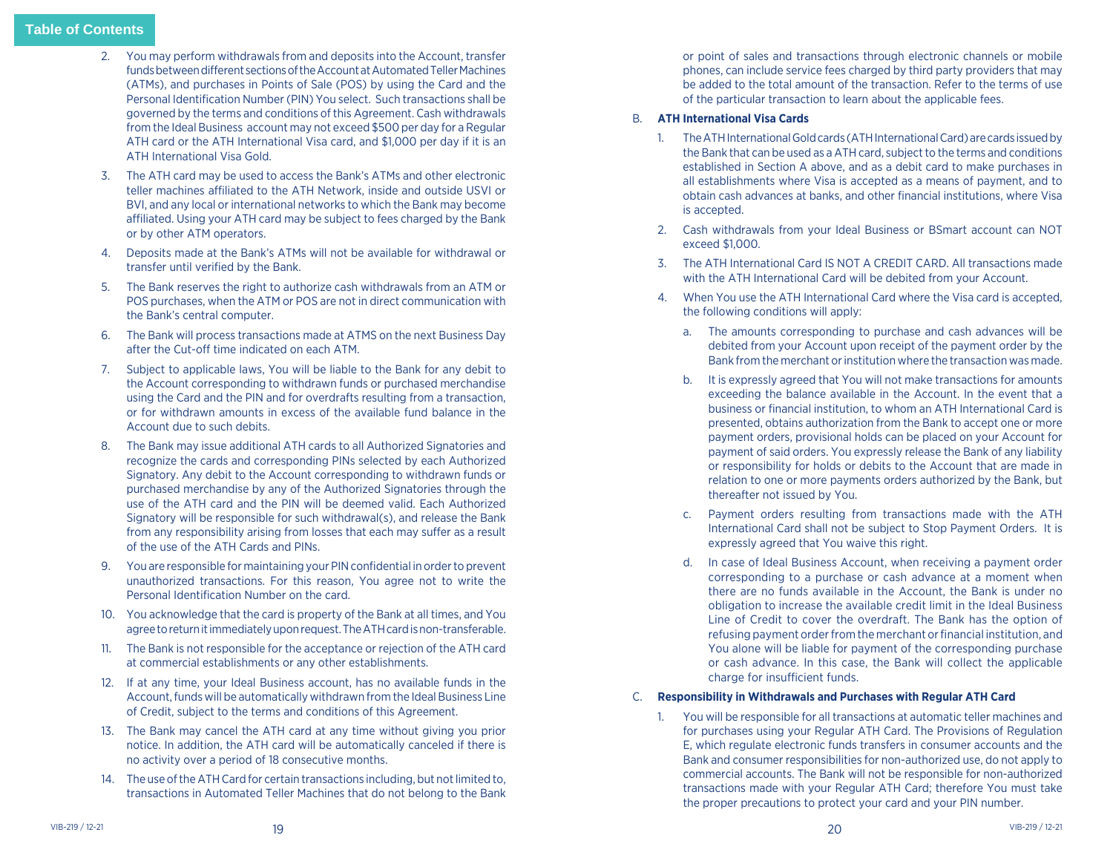- 2. You may perform withdrawals from and deposits into the Account, transfer funds between different sections of the Account at Automated Teller Machines (ATMs), and purchases in Points of Sale (POS) by using the Card and the Personal Identification Number (PIN) You select. Such transactions shall be governed by the terms and conditions of this Agreement. Cash withdrawals from the Ideal Business account may not exceed \$500 per day for a Regular ATH card or the ATH International Visa card, and \$1,000 per day if it is an ATH International Visa Gold.
- 3. The ATH card may be used to access the Bank's ATMs and other electronic teller machines affiliated to the ATH Network, inside and outside USVI or BVI, and any local or international networks to which the Bank may become affiliated. Using your ATH card may be subject to fees charged by the Bank or by other ATM operators.
- 4. Deposits made at the Bank's ATMs will not be available for withdrawal or transfer until verified by the Bank.
- 5. The Bank reserves the right to authorize cash withdrawals from an ATM or POS purchases, when the ATM or POS are not in direct communication with the Bank's central computer.
- 6. The Bank will process transactions made at ATMS on the next Business Day after the Cut-off time indicated on each ATM.
- 7. Subject to applicable laws, You will be liable to the Bank for any debit to the Account corresponding to withdrawn funds or purchased merchandise using the Card and the PIN and for overdrafts resulting from a transaction, or for withdrawn amounts in excess of the available fund balance in the Account due to such debits.
- 8. The Bank may issue additional ATH cards to all Authorized Signatories and recognize the cards and corresponding PINs selected by each Authorized Signatory. Any debit to the Account corresponding to withdrawn funds or purchased merchandise by any of the Authorized Signatories through the use of the ATH card and the PIN will be deemed valid. Each Authorized Signatory will be responsible for such withdrawal(s), and release the Bank from any responsibility arising from losses that each may suffer as a result of the use of the ATH Cards and PINs.
- 9. You are responsible for maintaining your PIN confidential in order to prevent unauthorized transactions. For this reason, You agree not to write the Personal Identification Number on the card.
- 10. You acknowledge that the card is property of the Bank at all times, and You agree to return it immediately upon request. The ATH card is non-transferable.
- 11. The Bank is not responsible for the acceptance or rejection of the ATH card at commercial establishments or any other establishments.
- 12. If at any time, your Ideal Business account, has no available funds in the Account, funds will be automatically withdrawn from the Ideal Business Line of Credit, subject to the terms and conditions of this Agreement.
- 13. The Bank may cancel the ATH card at any time without giving you prior notice. In addition, the ATH card will be automatically canceled if there is no activity over a period of 18 consecutive months.
- 14. The use of the ATH Card for certain transactions including, but not limited to, transactions in Automated Teller Machines that do not belong to the Bank

or point of sales and transactions through electronic channels or mobile phones, can include service fees charged by third party providers that may be added to the total amount of the transaction. Refer to the terms of use of the particular transaction to learn about the applicable fees.

# B. **ATH International Visa Cards**

- 1. The ATH International Gold cards (ATH International Card) are cards issued by the Bank that can be used as a ATH card, subject to the terms and conditions established in Section A above, and as a debit card to make purchases in all establishments where Visa is accepted as a means of payment, and to obtain cash advances at banks, and other financial institutions, where Visa is accepted.
- 2. Cash withdrawals from your Ideal Business or BSmart account can NOT exceed \$1,000.
- 3. The ATH International Card IS NOT A CREDIT CARD. All transactions made with the ATH International Card will be debited from your Account.
- 4. When You use the ATH International Card where the Visa card is accepted, the following conditions will apply:
	- a. The amounts corresponding to purchase and cash advances will be debited from your Account upon receipt of the payment order by the Bank from the merchant or institution where the transaction was made.
	- b. It is expressly agreed that You will not make transactions for amounts exceeding the balance available in the Account. In the event that a business or financial institution, to whom an ATH International Card is presented, obtains authorization from the Bank to accept one or more payment orders, provisional holds can be placed on your Account for payment of said orders. You expressly release the Bank of any liability or responsibility for holds or debits to the Account that are made in relation to one or more payments orders authorized by the Bank, but thereafter not issued by You.
	- c. Payment orders resulting from transactions made with the ATH International Card shall not be subject to Stop Payment Orders. It is expressly agreed that You waive this right.
	- d. In case of Ideal Business Account, when receiving a payment order corresponding to a purchase or cash advance at a moment when there are no funds available in the Account, the Bank is under no obligation to increase the available credit limit in the Ideal Business Line of Credit to cover the overdraft. The Bank has the option of refusing payment order from the merchant or financial institution, and You alone will be liable for payment of the corresponding purchase or cash advance. In this case, the Bank will collect the applicable charge for insufficient funds.

# C. **Responsibility in Withdrawals and Purchases with Regular ATH Card**

1. You will be responsible for all transactions at automatic teller machines and for purchases using your Regular ATH Card. The Provisions of Regulation E, which regulate electronic funds transfers in consumer accounts and the Bank and consumer responsibilities for non-authorized use, do not apply to commercial accounts. The Bank will not be responsible for non-authorized transactions made with your Regular ATH Card; therefore You must take the proper precautions to protect your card and your PIN number.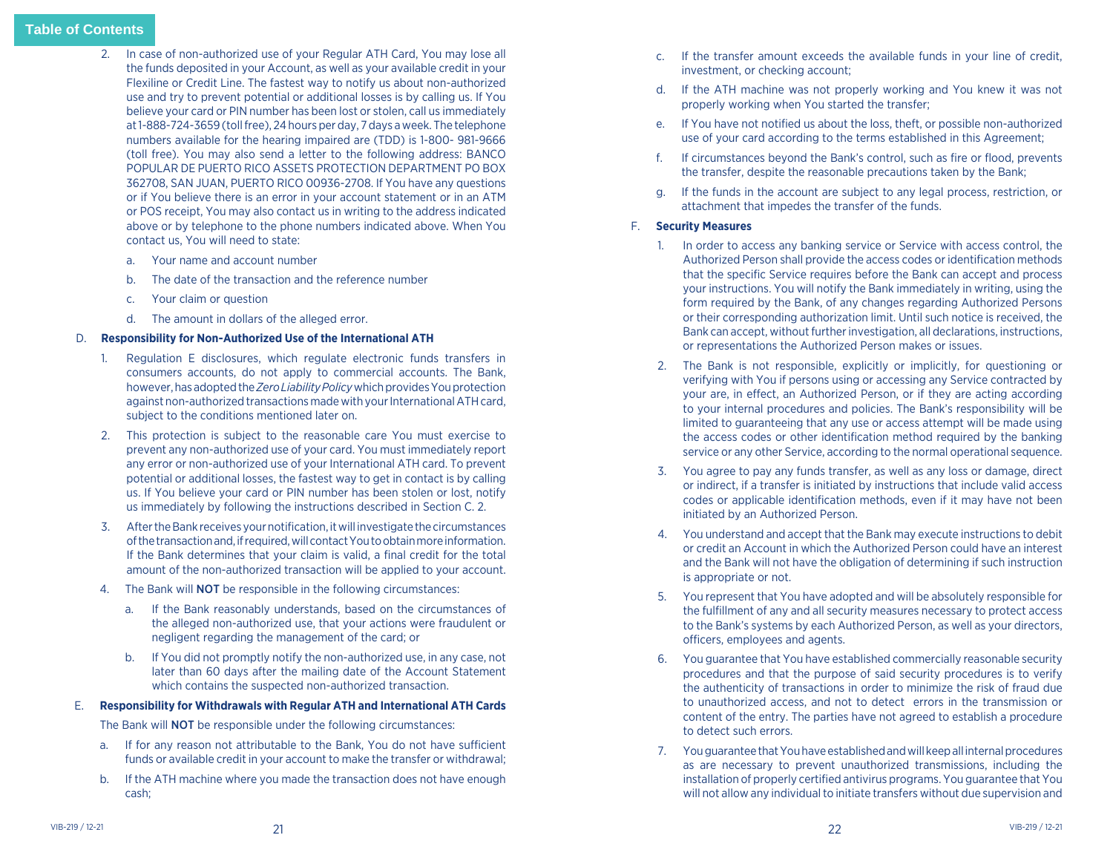- 2. In case of non-authorized use of your Regular ATH Card, You may lose all the funds deposited in your Account, as well as your available credit in your Flexiline or Credit Line. The fastest way to notify us about non-authorized use and try to prevent potential or additional losses is by calling us. If You believe your card or PIN number has been lost or stolen, call us immediately at 1-888-724-3659 (toll free), 24 hours per day, 7 days a week. The telephone numbers available for the hearing impaired are (TDD) is 1-800- 981-9666 (toll free). You may also send a letter to the following address: BANCO POPULAR DE PUERTO RICO ASSETS PROTECTION DEPARTMENT PO BOX 362708, SAN JUAN, PUERTO RICO 00936-2708. If You have any questions or if You believe there is an error in your account statement or in an ATM or POS receipt, You may also contact us in writing to the address indicated above or by telephone to the phone numbers indicated above. When You contact us, You will need to state:
	- a. Your name and account number
	- b. The date of the transaction and the reference number
	- c. Your claim or question
	- d. The amount in dollars of the alleged error.

# D. **Responsibility for Non-Authorized Use of the International ATH**

- 1. Regulation E disclosures, which regulate electronic funds transfers in consumers accounts, do not apply to commercial accounts. The Bank, however, has adopted the *Zero Liability Policy* which provides You protection against non-authorized transactions made with your International ATH card, subject to the conditions mentioned later on.
- 2. This protection is subject to the reasonable care You must exercise to prevent any non-authorized use of your card. You must immediately report any error or non-authorized use of your International ATH card. To prevent potential or additional losses, the fastest way to get in contact is by calling us. If You believe your card or PIN number has been stolen or lost, notify us immediately by following the instructions described in Section C. 2.
- 3. After the Bank receives your notification, it will investigate the circumstances of the transaction and, if required, will contact You to obtain more information. If the Bank determines that your claim is valid, a final credit for the total amount of the non-authorized transaction will be applied to your account.
- 4. The Bank will **NOT** be responsible in the following circumstances:
	- a. If the Bank reasonably understands, based on the circumstances of the alleged non-authorized use, that your actions were fraudulent or negligent regarding the management of the card; or
	- b. If You did not promptly notify the non-authorized use, in any case, not later than 60 days after the mailing date of the Account Statement which contains the suspected non-authorized transaction.

# E. **Responsibility for Withdrawals with Regular ATH and International ATH Cards**

The Bank will NOT be responsible under the following circumstances:

- a. If for any reason not attributable to the Bank, You do not have sufficient funds or available credit in your account to make the transfer or withdrawal;
- b. If the ATH machine where you made the transaction does not have enough cash;
- c. If the transfer amount exceeds the available funds in your line of credit, investment, or checking account;
- d. If the ATH machine was not properly working and You knew it was not properly working when You started the transfer;
- e. If You have not notified us about the loss, theft, or possible non-authorized use of your card according to the terms established in this Agreement;
- f. If circumstances beyond the Bank's control, such as fire or flood, prevents the transfer, despite the reasonable precautions taken by the Bank;
- g. If the funds in the account are subject to any legal process, restriction, or attachment that impedes the transfer of the funds.

# F. **Security Measures**

- 1. In order to access any banking service or Service with access control, the Authorized Person shall provide the access codes or identification methods that the specific Service requires before the Bank can accept and process your instructions. You will notify the Bank immediately in writing, using the form required by the Bank, of any changes regarding Authorized Persons or their corresponding authorization limit. Until such notice is received, the Bank can accept, without further investigation, all declarations, instructions, or representations the Authorized Person makes or issues.
- 2. The Bank is not responsible, explicitly or implicitly, for questioning or verifying with You if persons using or accessing any Service contracted by your are, in effect, an Authorized Person, or if they are acting according to your internal procedures and policies. The Bank's responsibility will be limited to guaranteeing that any use or access attempt will be made using the access codes or other identification method required by the banking service or any other Service, according to the normal operational sequence.
- 3. You agree to pay any funds transfer, as well as any loss or damage, direct or indirect, if a transfer is initiated by instructions that include valid access codes or applicable identification methods, even if it may have not been initiated by an Authorized Person.
- 4. You understand and accept that the Bank may execute instructions to debit or credit an Account in which the Authorized Person could have an interest and the Bank will not have the obligation of determining if such instruction is appropriate or not.
- 5. You represent that You have adopted and will be absolutely responsible for the fulfillment of any and all security measures necessary to protect access to the Bank's systems by each Authorized Person, as well as your directors, officers, employees and agents.
- 6. You guarantee that You have established commercially reasonable security procedures and that the purpose of said security procedures is to verify the authenticity of transactions in order to minimize the risk of fraud due to unauthorized access, and not to detect errors in the transmission or content of the entry. The parties have not agreed to establish a procedure to detect such errors.
- 7. You guarantee that You have established and will keep all internal procedures as are necessary to prevent unauthorized transmissions, including the installation of properly certified antivirus programs. You guarantee that You will not allow any individual to initiate transfers without due supervision and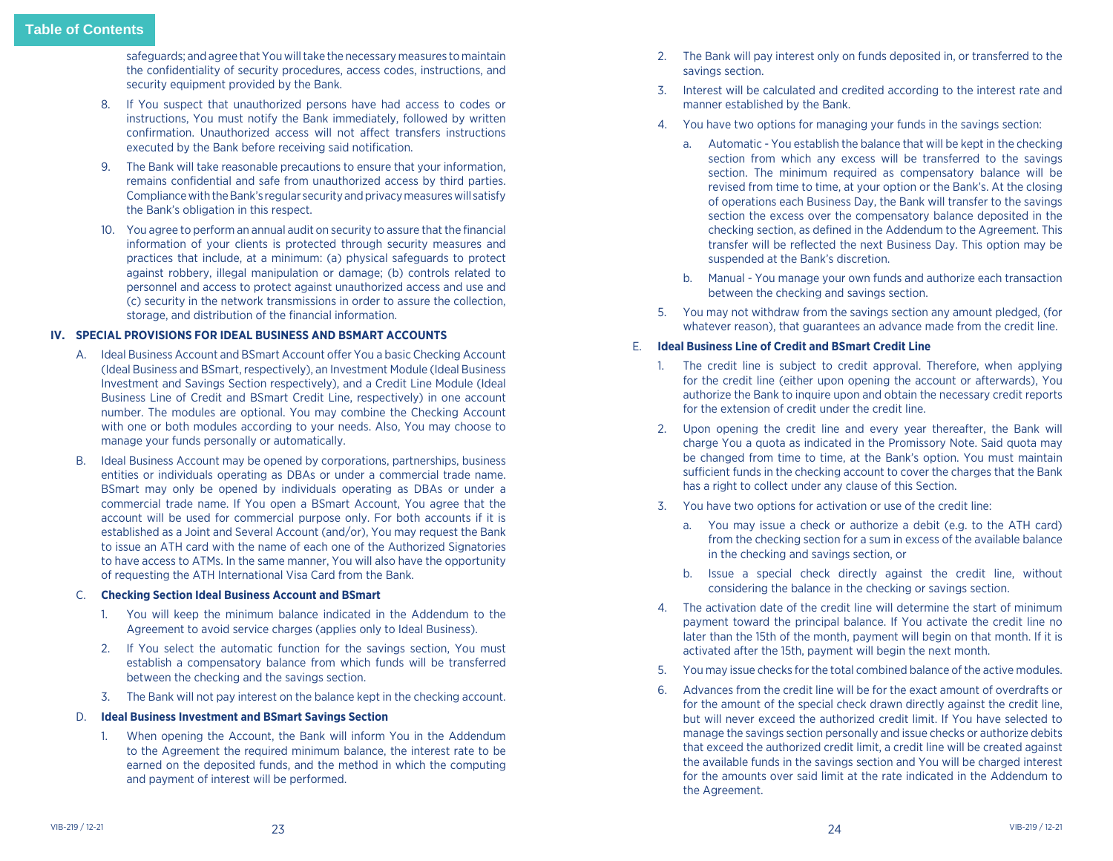<span id="page-12-0"></span>safeguards; and agree that You will take the necessary measures to maintain the confidentiality of security procedures, access codes, instructions, and security equipment provided by the Bank.

- 8. If You suspect that unauthorized persons have had access to codes or instructions, You must notify the Bank immediately, followed by written confirmation. Unauthorized access will not affect transfers instructions executed by the Bank before receiving said notification.
- 9. The Bank will take reasonable precautions to ensure that your information, remains confidential and safe from unauthorized access by third parties. Compliance with the Bank's regular security and privacy measures will satisfy the Bank's obligation in this respect.
- 10. You agree to perform an annual audit on security to assure that the financial information of your clients is protected through security measures and practices that include, at a minimum: (a) physical safeguards to protect against robbery, illegal manipulation or damage; (b) controls related to personnel and access to protect against unauthorized access and use and (c) security in the network transmissions in order to assure the collection, storage, and distribution of the financial information.

# **IV. SPECIAL PROVISIONS FOR IDEAL BUSINESS AND BSMART ACCOUNTS**

- A. Ideal Business Account and BSmart Account offer You a basic Checking Account (Ideal Business and BSmart, respectively), an Investment Module (Ideal Business Investment and Savings Section respectively), and a Credit Line Module (Ideal Business Line of Credit and BSmart Credit Line, respectively) in one account number. The modules are optional. You may combine the Checking Account with one or both modules according to your needs. Also, You may choose to manage your funds personally or automatically.
- B. Ideal Business Account may be opened by corporations, partnerships, business entities or individuals operating as DBAs or under a commercial trade name. BSmart may only be opened by individuals operating as DBAs or under a commercial trade name. If You open a BSmart Account, You agree that the account will be used for commercial purpose only. For both accounts if it is established as a Joint and Several Account (and/or), You may request the Bank to issue an ATH card with the name of each one of the Authorized Signatories to have access to ATMs. In the same manner, You will also have the opportunity of requesting the ATH International Visa Card from the Bank.

# C. **Checking Section Ideal Business Account and BSmart**

- 1. You will keep the minimum balance indicated in the Addendum to the Agreement to avoid service charges (applies only to Ideal Business).
- 2. If You select the automatic function for the savings section, You must establish a compensatory balance from which funds will be transferred between the checking and the savings section.
- 3. The Bank will not pay interest on the balance kept in the checking account.

#### D. **Ideal Business Investment and BSmart Savings Section**

1. When opening the Account, the Bank will inform You in the Addendum to the Agreement the required minimum balance, the interest rate to be earned on the deposited funds, and the method in which the computing and payment of interest will be performed.

- 2. The Bank will pay interest only on funds deposited in, or transferred to the savings section.
- 3. Interest will be calculated and credited according to the interest rate and manner established by the Bank.
- 4. You have two options for managing your funds in the savings section:
	- a. Automatic You establish the balance that will be kept in the checking section from which any excess will be transferred to the savings section. The minimum required as compensatory balance will be revised from time to time, at your option or the Bank's. At the closing of operations each Business Day, the Bank will transfer to the savings section the excess over the compensatory balance deposited in the checking section, as defined in the Addendum to the Agreement. This transfer will be reflected the next Business Day. This option may be suspended at the Bank's discretion.
	- b. Manual You manage your own funds and authorize each transaction between the checking and savings section.
- 5. You may not withdraw from the savings section any amount pledged, (for whatever reason), that guarantees an advance made from the credit line.

#### E. **Ideal Business Line of Credit and BSmart Credit Line**

- 1. The credit line is subject to credit approval. Therefore, when applying for the credit line (either upon opening the account or afterwards), You authorize the Bank to inquire upon and obtain the necessary credit reports for the extension of credit under the credit line.
- 2. Upon opening the credit line and every year thereafter, the Bank will charge You a quota as indicated in the Promissory Note. Said quota may be changed from time to time, at the Bank's option. You must maintain sufficient funds in the checking account to cover the charges that the Bank has a right to collect under any clause of this Section.
- 3. You have two options for activation or use of the credit line:
	- a. You may issue a check or authorize a debit (e.g. to the ATH card) from the checking section for a sum in excess of the available balance in the checking and savings section, or
	- b. Issue a special check directly against the credit line, without considering the balance in the checking or savings section.
- 4. The activation date of the credit line will determine the start of minimum payment toward the principal balance. If You activate the credit line no later than the 15th of the month, payment will begin on that month. If it is activated after the 15th, payment will begin the next month.
- 5. You may issue checks for the total combined balance of the active modules.
- 6. Advances from the credit line will be for the exact amount of overdrafts or for the amount of the special check drawn directly against the credit line, but will never exceed the authorized credit limit. If You have selected to manage the savings section personally and issue checks or authorize debits that exceed the authorized credit limit, a credit line will be created against the available funds in the savings section and You will be charged interest for the amounts over said limit at the rate indicated in the Addendum to the Agreement.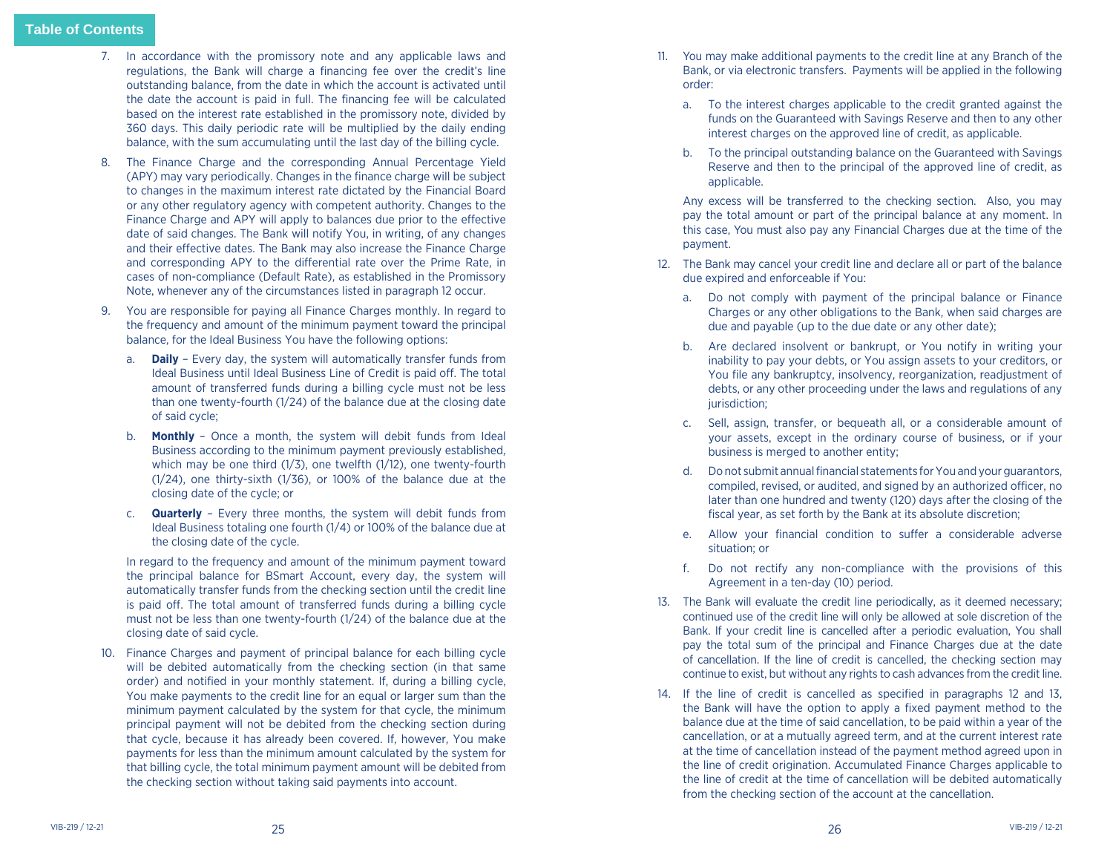- 7. In accordance with the promissory note and any applicable laws and regulations, the Bank will charge a financing fee over the credit's line outstanding balance, from the date in which the account is activated until the date the account is paid in full. The financing fee will be calculated based on the interest rate established in the promissory note, divided by 360 days. This daily periodic rate will be multiplied by the daily ending balance, with the sum accumulating until the last day of the billing cycle.
- 8. The Finance Charge and the corresponding Annual Percentage Yield (APY) may vary periodically. Changes in the finance charge will be subject to changes in the maximum interest rate dictated by the Financial Board or any other regulatory agency with competent authority. Changes to the Finance Charge and APY will apply to balances due prior to the effective date of said changes. The Bank will notify You, in writing, of any changes and their effective dates. The Bank may also increase the Finance Charge and corresponding APY to the differential rate over the Prime Rate, in cases of non-compliance (Default Rate), as established in the Promissory Note, whenever any of the circumstances listed in paragraph 12 occur.
- 9. You are responsible for paying all Finance Charges monthly. In regard to the frequency and amount of the minimum payment toward the principal balance, for the Ideal Business You have the following options:
	- a. **Daily** Every day, the system will automatically transfer funds from Ideal Business until Ideal Business Line of Credit is paid off. The total amount of transferred funds during a billing cycle must not be less than one twenty-fourth (1/24) of the balance due at the closing date of said cycle;
	- b. **Monthly**  Once a month, the system will debit funds from Ideal Business according to the minimum payment previously established, which may be one third (1/3), one twelfth (1/12), one twenty-fourth (1/24), one thirty-sixth (1/36), or 100% of the balance due at the closing date of the cycle; or
	- c. **Quarterly** Every three months, the system will debit funds from Ideal Business totaling one fourth (1/4) or 100% of the balance due at the closing date of the cycle.

In regard to the frequency and amount of the minimum payment toward the principal balance for BSmart Account, every day, the system will automatically transfer funds from the checking section until the credit line is paid off. The total amount of transferred funds during a billing cycle must not be less than one twenty-fourth (1/24) of the balance due at the closing date of said cycle.

10. Finance Charges and payment of principal balance for each billing cycle will be debited automatically from the checking section (in that same order) and notified in your monthly statement. If, during a billing cycle, You make payments to the credit line for an equal or larger sum than the minimum payment calculated by the system for that cycle, the minimum principal payment will not be debited from the checking section during that cycle, because it has already been covered. If, however, You make payments for less than the minimum amount calculated by the system for that billing cycle, the total minimum payment amount will be debited from the checking section without taking said payments into account.

- 11. You may make additional payments to the credit line at any Branch of the Bank, or via electronic transfers. Payments will be applied in the following order:
	- a. To the interest charges applicable to the credit granted against the funds on the Guaranteed with Savings Reserve and then to any other interest charges on the approved line of credit, as applicable.
	- b. To the principal outstanding balance on the Guaranteed with Savings Reserve and then to the principal of the approved line of credit, as applicable.

 Any excess will be transferred to the checking section. Also, you may pay the total amount or part of the principal balance at any moment. In this case, You must also pay any Financial Charges due at the time of the payment.

- 12. The Bank may cancel your credit line and declare all or part of the balance due expired and enforceable if You:
	- a. Do not comply with payment of the principal balance or Finance Charges or any other obligations to the Bank, when said charges are due and payable (up to the due date or any other date);
	- b. Are declared insolvent or bankrupt, or You notify in writing your inability to pay your debts, or You assign assets to your creditors, or You file any bankruptcy, insolvency, reorganization, readjustment of debts, or any other proceeding under the laws and regulations of any jurisdiction;
	- c. Sell, assign, transfer, or bequeath all, or a considerable amount of your assets, except in the ordinary course of business, or if your business is merged to another entity;
	- d. Do not submit annual financial statements for You and your guarantors, compiled, revised, or audited, and signed by an authorized officer, no later than one hundred and twenty (120) days after the closing of the fiscal year, as set forth by the Bank at its absolute discretion;
	- e. Allow your financial condition to suffer a considerable adverse situation; or
	- f. Do not rectify any non-compliance with the provisions of this Agreement in a ten-day (10) period.
- 13. The Bank will evaluate the credit line periodically, as it deemed necessary; continued use of the credit line will only be allowed at sole discretion of the Bank. If your credit line is cancelled after a periodic evaluation, You shall pay the total sum of the principal and Finance Charges due at the date of cancellation. If the line of credit is cancelled, the checking section may continue to exist, but without any rights to cash advances from the credit line.
- 14. If the line of credit is cancelled as specified in paragraphs 12 and 13, the Bank will have the option to apply a fixed payment method to the balance due at the time of said cancellation, to be paid within a year of the cancellation, or at a mutually agreed term, and at the current interest rate at the time of cancellation instead of the payment method agreed upon in the line of credit origination. Accumulated Finance Charges applicable to the line of credit at the time of cancellation will be debited automatically from the checking section of the account at the cancellation.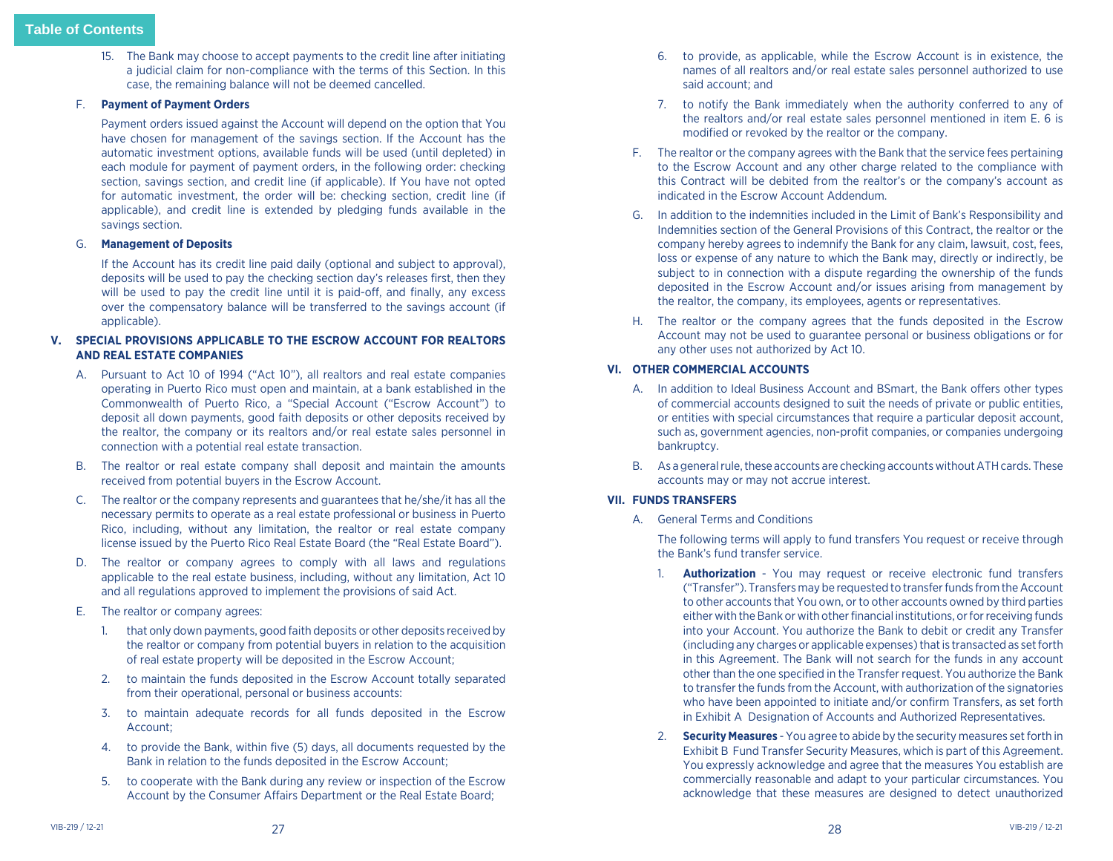<span id="page-14-1"></span><span id="page-14-0"></span>15. The Bank may choose to accept payments to the credit line after initiating a judicial claim for non-compliance with the terms of this Section. In this case, the remaining balance will not be deemed cancelled.

# F. **Payment of Payment Orders**

 Payment orders issued against the Account will depend on the option that You have chosen for management of the savings section. If the Account has the automatic investment options, available funds will be used (until depleted) in each module for payment of payment orders, in the following order: checking section, savings section, and credit line (if applicable). If You have not opted for automatic investment, the order will be: checking section, credit line (if applicable), and credit line is extended by pledging funds available in the savings section.

# G. **Management of Deposits**

 If the Account has its credit line paid daily (optional and subject to approval), deposits will be used to pay the checking section day's releases first, then they will be used to pay the credit line until it is paid-off, and finally, any excess over the compensatory balance will be transferred to the savings account (if applicable).

# **V. SPECIAL PROVISIONS APPLICABLE TO THE ESCROW ACCOUNT FOR REALTORS AND REAL ESTATE COMPANIES**

- A. Pursuant to Act 10 of 1994 ("Act 10"), all realtors and real estate companies operating in Puerto Rico must open and maintain, at a bank established in the Commonwealth of Puerto Rico, a "Special Account ("Escrow Account") to deposit all down payments, good faith deposits or other deposits received by the realtor, the company or its realtors and/or real estate sales personnel in connection with a potential real estate transaction.
- B. The realtor or real estate company shall deposit and maintain the amounts received from potential buyers in the Escrow Account.
- C. The realtor or the company represents and guarantees that he/she/it has all the necessary permits to operate as a real estate professional or business in Puerto Rico, including, without any limitation, the realtor or real estate company license issued by the Puerto Rico Real Estate Board (the "Real Estate Board").
- D. The realtor or company agrees to comply with all laws and regulations applicable to the real estate business, including, without any limitation, Act 10 and all regulations approved to implement the provisions of said Act.
- E. The realtor or company agrees:
	- 1. that only down payments, good faith deposits or other deposits received by the realtor or company from potential buyers in relation to the acquisition of real estate property will be deposited in the Escrow Account;
	- 2. to maintain the funds deposited in the Escrow Account totally separated from their operational, personal or business accounts:
	- 3. to maintain adequate records for all funds deposited in the Escrow Account;
	- 4. to provide the Bank, within five (5) days, all documents requested by the Bank in relation to the funds deposited in the Escrow Account;
	- 5. to cooperate with the Bank during any review or inspection of the Escrow Account by the Consumer Affairs Department or the Real Estate Board;
- 6. to provide, as applicable, while the Escrow Account is in existence, the names of all realtors and/or real estate sales personnel authorized to use said account; and
- 7. to notify the Bank immediately when the authority conferred to any of the realtors and/or real estate sales personnel mentioned in item E. 6 is modified or revoked by the realtor or the company.
- F. The realtor or the company agrees with the Bank that the service fees pertaining to the Escrow Account and any other charge related to the compliance with this Contract will be debited from the realtor's or the company's account as indicated in the Escrow Account Addendum.
- G. In addition to the indemnities included in the Limit of Bank's Responsibility and Indemnities section of the General Provisions of this Contract, the realtor or the company hereby agrees to indemnify the Bank for any claim, lawsuit, cost, fees, loss or expense of any nature to which the Bank may, directly or indirectly, be subject to in connection with a dispute regarding the ownership of the funds deposited in the Escrow Account and/or issues arising from management by the realtor, the company, its employees, agents or representatives.
- H. The realtor or the company agrees that the funds deposited in the Escrow Account may not be used to guarantee personal or business obligations or for any other uses not authorized by Act 10.

# **VI. OTHER COMMERCIAL ACCOUNTS**

- A. In addition to Ideal Business Account and BSmart, the Bank offers other types of commercial accounts designed to suit the needs of private or public entities, or entities with special circumstances that require a particular deposit account, such as, government agencies, non-profit companies, or companies undergoing bankruptcy.
- B. As a general rule, these accounts are checking accounts without ATH cards. These accounts may or may not accrue interest.

# **VII. FUNDS TRANSFERS**

A. General Terms and Conditions

The following terms will apply to fund transfers You request or receive through the Bank's fund transfer service.

- 1. **Authorization** You may request or receive electronic fund transfers ("Transfer"). Transfers may be requested to transfer funds from the Account to other accounts that You own, or to other accounts owned by third parties either with the Bank or with other financial institutions, or for receiving funds into your Account. You authorize the Bank to debit or credit any Transfer (including any charges or applicable expenses) that is transacted as set forth in this Agreement. The Bank will not search for the funds in any account other than the one specified in the Transfer request. You authorize the Bank to transfer the funds from the Account, with authorization of the signatories who have been appointed to initiate and/or confirm Transfers, as set forth in Exhibit A Designation of Accounts and Authorized Representatives.
- 2. **Security Measures** You agree to abide by the security measures set forth in Exhibit B Fund Transfer Security Measures, which is part of this Agreement. You expressly acknowledge and agree that the measures You establish are commercially reasonable and adapt to your particular circumstances. You acknowledge that these measures are designed to detect unauthorized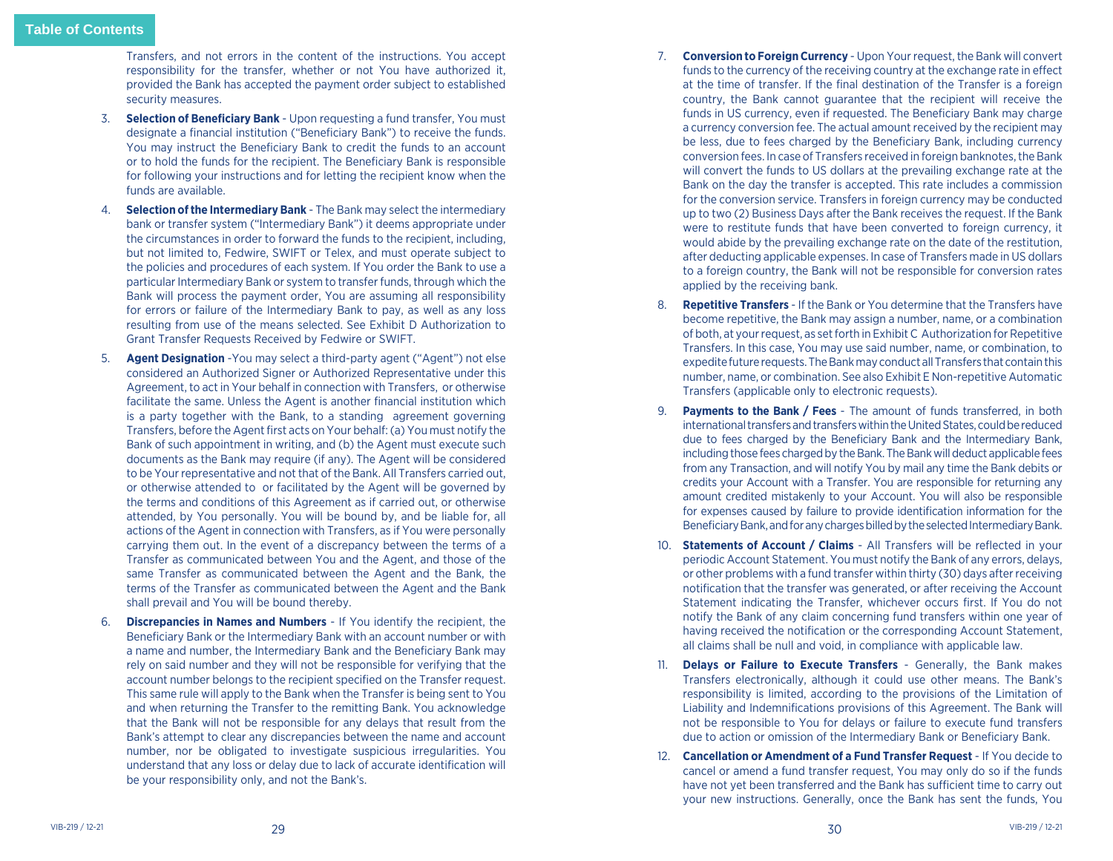Transfers, and not errors in the content of the instructions. You accept responsibility for the transfer, whether or not You have authorized it, provided the Bank has accepted the payment order subject to established security measures.

- 3. **Selection of Beneficiary Bank** Upon requesting a fund transfer, You must designate a financial institution ("Beneficiary Bank") to receive the funds. You may instruct the Beneficiary Bank to credit the funds to an account or to hold the funds for the recipient. The Beneficiary Bank is responsible for following your instructions and for letting the recipient know when the funds are available.
- 4. **Selection of the Intermediary Bank** The Bank may select the intermediary bank or transfer system ("Intermediary Bank") it deems appropriate under the circumstances in order to forward the funds to the recipient, including, but not limited to, Fedwire, SWIFT or Telex, and must operate subject to the policies and procedures of each system. If You order the Bank to use a particular Intermediary Bank or system to transfer funds, through which the Bank will process the payment order, You are assuming all responsibility for errors or failure of the Intermediary Bank to pay, as well as any loss resulting from use of the means selected. See Exhibit D Authorization to Grant Transfer Requests Received by Fedwire or SWIFT.
- **Agent Designation** -You may select a third-party agent ("Agent") not else considered an Authorized Signer or Authorized Representative under this Agreement, to act in Your behalf in connection with Transfers, or otherwise facilitate the same. Unless the Agent is another financial institution which is a party together with the Bank, to a standing agreement governing Transfers, before the Agent first acts on Your behalf: (a) You must notify the Bank of such appointment in writing, and (b) the Agent must execute such documents as the Bank may require (if any). The Agent will be considered to be Your representative and not that of the Bank. All Transfers carried out, or otherwise attended to or facilitated by the Agent will be governed by the terms and conditions of this Agreement as if carried out, or otherwise attended, by You personally. You will be bound by, and be liable for, all actions of the Agent in connection with Transfers, as if You were personally carrying them out. In the event of a discrepancy between the terms of a Transfer as communicated between You and the Agent, and those of the same Transfer as communicated between the Agent and the Bank, the terms of the Transfer as communicated between the Agent and the Bank shall prevail and You will be bound thereby.
- 6. **Discrepancies in Names and Numbers** If You identify the recipient, the Beneficiary Bank or the Intermediary Bank with an account number or with a name and number, the Intermediary Bank and the Beneficiary Bank may rely on said number and they will not be responsible for verifying that the account number belongs to the recipient specified on the Transfer request. This same rule will apply to the Bank when the Transfer is being sent to You and when returning the Transfer to the remitting Bank. You acknowledge that the Bank will not be responsible for any delays that result from the Bank's attempt to clear any discrepancies between the name and account number, nor be obligated to investigate suspicious irregularities. You understand that any loss or delay due to lack of accurate identification will be your responsibility only, and not the Bank's.
- 7. **Conversion to Foreign Currency** Upon Your request, the Bank will convert funds to the currency of the receiving country at the exchange rate in effect at the time of transfer. If the final destination of the Transfer is a foreign country, the Bank cannot guarantee that the recipient will receive the funds in US currency, even if requested. The Beneficiary Bank may charge a currency conversion fee. The actual amount received by the recipient may be less, due to fees charged by the Beneficiary Bank, including currency conversion fees. In case of Transfers received in foreign banknotes, the Bank will convert the funds to US dollars at the prevailing exchange rate at the Bank on the day the transfer is accepted. This rate includes a commission for the conversion service. Transfers in foreign currency may be conducted up to two (2) Business Days after the Bank receives the request. If the Bank were to restitute funds that have been converted to foreign currency, it would abide by the prevailing exchange rate on the date of the restitution, after deducting applicable expenses. In case of Transfers made in US dollars to a foreign country, the Bank will not be responsible for conversion rates applied by the receiving bank.
- 8. **Repetitive Transfers** If the Bank or You determine that the Transfers have become repetitive, the Bank may assign a number, name, or a combination of both, at your request, as set forth in Exhibit C Authorization for Repetitive Transfers. In this case, You may use said number, name, or combination, to expedite future requests. The Bank may conduct all Transfers that contain this number, name, or combination. See also Exhibit E Non-repetitive Automatic Transfers (applicable only to electronic requests).
- 9. **Payments to the Bank / Fees**  The amount of funds transferred, in both international transfers and transfers within the United States, could be reduced due to fees charged by the Beneficiary Bank and the Intermediary Bank, including those fees charged by the Bank. The Bank will deduct applicable fees from any Transaction, and will notify You by mail any time the Bank debits or credits your Account with a Transfer. You are responsible for returning any amount credited mistakenly to your Account. You will also be responsible for expenses caused by failure to provide identification information for the Beneficiary Bank, and for any charges billed by the selected Intermediary Bank.
- 10. **Statements of Account / Claims** All Transfers will be reflected in your periodic Account Statement. You must notify the Bank of any errors, delays, or other problems with a fund transfer within thirty (30) days after receiving notification that the transfer was generated, or after receiving the Account Statement indicating the Transfer, whichever occurs first. If You do not notify the Bank of any claim concerning fund transfers within one year of having received the notification or the corresponding Account Statement, all claims shall be null and void, in compliance with applicable law.
- 11. **Delays or Failure to Execute Transfers** Generally, the Bank makes Transfers electronically, although it could use other means. The Bank's responsibility is limited, according to the provisions of the Limitation of Liability and Indemnifications provisions of this Agreement. The Bank will not be responsible to You for delays or failure to execute fund transfers due to action or omission of the Intermediary Bank or Beneficiary Bank.
- 12. **Cancellation or Amendment of a Fund Transfer Request** If You decide to cancel or amend a fund transfer request, You may only do so if the funds have not yet been transferred and the Bank has sufficient time to carry out your new instructions. Generally, once the Bank has sent the funds, You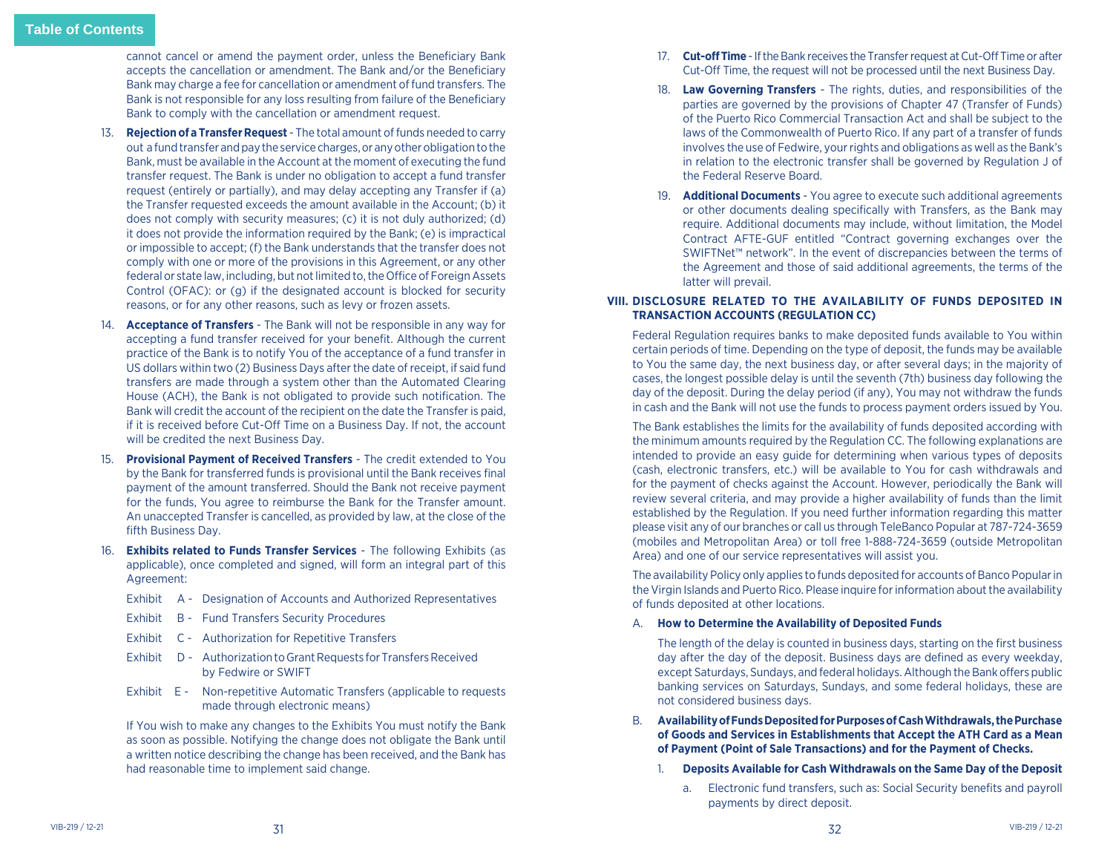<span id="page-16-0"></span>cannot cancel or amend the payment order, unless the Beneficiary Bank accepts the cancellation or amendment. The Bank and/or the Beneficiary Bank may charge a fee for cancellation or amendment of fund transfers. The Bank is not responsible for any loss resulting from failure of the Beneficiary Bank to comply with the cancellation or amendment request.

- 13. **Rejection of a Transfer Request** The total amount of funds needed to carry out a fund transfer and pay the service charges, or any other obligation to the Bank, must be available in the Account at the moment of executing the fund transfer request. The Bank is under no obligation to accept a fund transfer request (entirely or partially), and may delay accepting any Transfer if (a) the Transfer requested exceeds the amount available in the Account; (b) it does not comply with security measures; (c) it is not duly authorized; (d) it does not provide the information required by the Bank; (e) is impractical or impossible to accept; (f) the Bank understands that the transfer does not comply with one or more of the provisions in this Agreement, or any other federal or state law, including, but not limited to, the Office of Foreign Assets Control (OFAC): or (g) if the designated account is blocked for security reasons, or for any other reasons, such as levy or frozen assets.
- 14. **Acceptance of Transfers** The Bank will not be responsible in any way for accepting a fund transfer received for your benefit. Although the current practice of the Bank is to notify You of the acceptance of a fund transfer in US dollars within two (2) Business Days after the date of receipt, if said fund transfers are made through a system other than the Automated Clearing House (ACH), the Bank is not obligated to provide such notification. The Bank will credit the account of the recipient on the date the Transfer is paid, if it is received before Cut-Off Time on a Business Day. If not, the account will be credited the next Business Day.
- 15. **Provisional Payment of Received Transfers** The credit extended to You by the Bank for transferred funds is provisional until the Bank receives final payment of the amount transferred. Should the Bank not receive payment for the funds, You agree to reimburse the Bank for the Transfer amount. An unaccepted Transfer is cancelled, as provided by law, at the close of the fifth Business Day.
- 16. **Exhibits related to Funds Transfer Services** The following Exhibits (as applicable), once completed and signed, will form an integral part of this Agreement:
	- Exhibit A Designation of Accounts and Authorized Representatives
	- Exhibit B Fund Transfers Security Procedures
	- Exhibit C Authorization for Repetitive Transfers
	- Exhibit D Authorization to Grant Requests for Transfers Received by Fedwire or SWIFT
	- Exhibit E Non-repetitive Automatic Transfers (applicable to requests made through electronic means)

 If You wish to make any changes to the Exhibits You must notify the Bank as soon as possible. Notifying the change does not obligate the Bank until a written notice describing the change has been received, and the Bank has had reasonable time to implement said change.

- 17. **Cut-off Time** If the Bank receives the Transfer request at Cut-Off Time or after Cut-Off Time, the request will not be processed until the next Business Day.
- 18. **Law Governing Transfers** The rights, duties, and responsibilities of the parties are governed by the provisions of Chapter 47 (Transfer of Funds) of the Puerto Rico Commercial Transaction Act and shall be subject to the laws of the Commonwealth of Puerto Rico. If any part of a transfer of funds involves the use of Fedwire, your rights and obligations as well as the Bank's in relation to the electronic transfer shall be governed by Regulation J of the Federal Reserve Board.
- 19. **Additional Documents** You agree to execute such additional agreements or other documents dealing specifically with Transfers, as the Bank may require. Additional documents may include, without limitation, the Model Contract AFTE-GUF entitled "Contract governing exchanges over the SWIFTNet™ network". In the event of discrepancies between the terms of the Agreement and those of said additional agreements, the terms of the latter will prevail.

# **VIII. DISCLOSURE RELATED TO THE AVAILABILITY OF FUNDS DEPOSITED IN TRANSACTION ACCOUNTS (REGULATION CC)**

Federal Regulation requires banks to make deposited funds available to You within certain periods of time. Depending on the type of deposit, the funds may be available to You the same day, the next business day, or after several days; in the majority of cases, the longest possible delay is until the seventh (7th) business day following the day of the deposit. During the delay period (if any), You may not withdraw the funds in cash and the Bank will not use the funds to process payment orders issued by You.

The Bank establishes the limits for the availability of funds deposited according with the minimum amounts required by the Regulation CC. The following explanations are intended to provide an easy guide for determining when various types of deposits (cash, electronic transfers, etc.) will be available to You for cash withdrawals and for the payment of checks against the Account. However, periodically the Bank will review several criteria, and may provide a higher availability of funds than the limit established by the Regulation. If you need further information regarding this matter please visit any of our branches or call us through TeleBanco Popular at 787-724-3659 (mobiles and Metropolitan Area) or toll free 1-888-724-3659 (outside Metropolitan Area) and one of our service representatives will assist you.

The availability Policy only applies to funds deposited for accounts of Banco Popular in the Virgin Islands and Puerto Rico. Please inquire for information about the availability of funds deposited at other locations.

# A. **How to Determine the Availability of Deposited Funds**

The length of the delay is counted in business days, starting on the first business day after the day of the deposit. Business days are defined as every weekday, except Saturdays, Sundays, and federal holidays. Although the Bank offers public banking services on Saturdays, Sundays, and some federal holidays, these are not considered business days.

- B. **Availability of Funds Deposited for Purposes of Cash Withdrawals, the Purchase of Goods and Services in Establishments that Accept the ATH Card as a Mean of Payment (Point of Sale Transactions) and for the Payment of Checks.**
	- 1. **Deposits Available for Cash Withdrawals on the Same Day of the Deposit**
		- a. Electronic fund transfers, such as: Social Security benefits and payroll payments by direct deposit.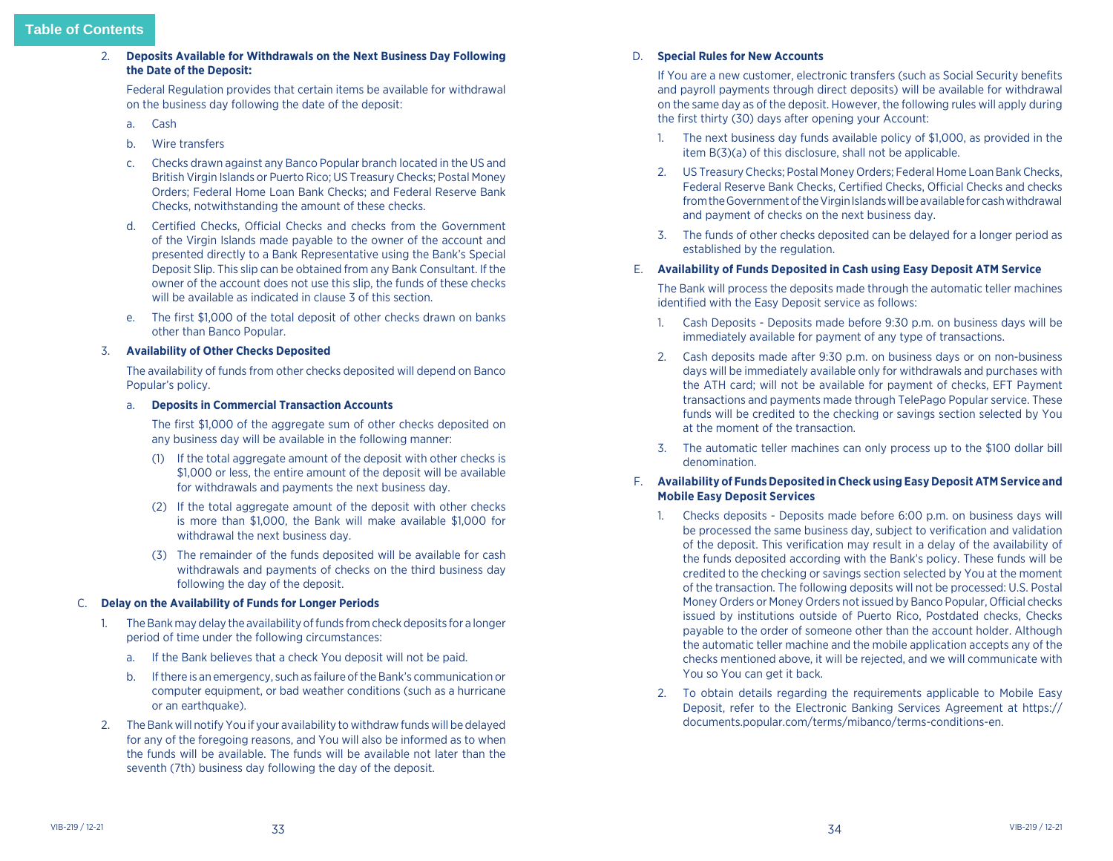2. **Deposits Available for Withdrawals on the Next Business Day Following the Date of the Deposit:**

Federal Regulation provides that certain items be available for withdrawal on the business day following the date of the deposit:

- a. Cash
- b. Wire transfers
- c. Checks drawn against any Banco Popular branch located in the US and British Virgin Islands or Puerto Rico; US Treasury Checks; Postal Money Orders; Federal Home Loan Bank Checks; and Federal Reserve Bank Checks, notwithstanding the amount of these checks.
- d. Certified Checks, Official Checks and checks from the Government of the Virgin Islands made payable to the owner of the account and presented directly to a Bank Representative using the Bank's Special Deposit Slip. This slip can be obtained from any Bank Consultant. If the owner of the account does not use this slip, the funds of these checks will be available as indicated in clause 3 of this section.
- e. The first \$1,000 of the total deposit of other checks drawn on banks other than Banco Popular.

#### 3. **Availability of Other Checks Deposited**

The availability of funds from other checks deposited will depend on Banco Popular's policy.

#### a. **Deposits in Commercial Transaction Accounts**

The first \$1,000 of the aggregate sum of other checks deposited on any business day will be available in the following manner:

- (1) If the total aggregate amount of the deposit with other checks is \$1,000 or less, the entire amount of the deposit will be available for withdrawals and payments the next business day.
- (2) If the total aggregate amount of the deposit with other checks is more than \$1,000, the Bank will make available \$1,000 for withdrawal the next business day.
- (3) The remainder of the funds deposited will be available for cash withdrawals and payments of checks on the third business day following the day of the deposit.

# C. **Delay on the Availability of Funds for Longer Periods**

- 1. The Bank may delay the availability of funds from check deposits for a longer period of time under the following circumstances:
	- a. If the Bank believes that a check You deposit will not be paid.
	- b. If there is an emergency, such as failure of the Bank's communication or computer equipment, or bad weather conditions (such as a hurricane or an earthquake).
- 2. The Bank will notify You if your availability to withdraw funds will be delayed for any of the foregoing reasons, and You will also be informed as to when the funds will be available. The funds will be available not later than the seventh (7th) business day following the day of the deposit.

#### D. **Special Rules for New Accounts**

If You are a new customer, electronic transfers (such as Social Security benefits and payroll payments through direct deposits) will be available for withdrawal on the same day as of the deposit. However, the following rules will apply during the first thirty (30) days after opening your Account:

- 1. The next business day funds available policy of \$1,000, as provided in the item B(3)(a) of this disclosure, shall not be applicable.
- 2. US Treasury Checks; Postal Money Orders; Federal Home Loan Bank Checks, Federal Reserve Bank Checks, Certified Checks, Official Checks and checks from the Government of the Virgin Islands will be available for cash withdrawal and payment of checks on the next business day.
- 3. The funds of other checks deposited can be delayed for a longer period as established by the regulation.

# E. **Availability of Funds Deposited in Cash using Easy Deposit ATM Service**

The Bank will process the deposits made through the automatic teller machines identified with the Easy Deposit service as follows:

- 1. Cash Deposits Deposits made before 9:30 p.m. on business days will be immediately available for payment of any type of transactions.
- 2. Cash deposits made after 9:30 p.m. on business days or on non-business days will be immediately available only for withdrawals and purchases with the ATH card; will not be available for payment of checks, EFT Payment transactions and payments made through TelePago Popular service. These funds will be credited to the checking or savings section selected by You at the moment of the transaction.
- 3. The automatic teller machines can only process up to the \$100 dollar bill denomination.

# F. **Availability of Funds Deposited in Check using Easy Deposit ATM Service and Mobile Easy Deposit Services**

- 1. Checks deposits Deposits made before 6:00 p.m. on business days will be processed the same business day, subject to verification and validation of the deposit. This verification may result in a delay of the availability of the funds deposited according with the Bank's policy. These funds will be credited to the checking or savings section selected by You at the moment of the transaction. The following deposits will not be processed: U.S. Postal Money Orders or Money Orders not issued by Banco Popular, Official checks issued by institutions outside of Puerto Rico, Postdated checks, Checks payable to the order of someone other than the account holder. Although the automatic teller machine and the mobile application accepts any of the checks mentioned above, it will be rejected, and we will communicate with You so You can get it back.
- 2. To obtain details regarding the requirements applicable to Mobile Easy Deposit, refer to the Electronic Banking Services Agreement at https:// documents.popular.com/terms/mibanco/terms-conditions-en.